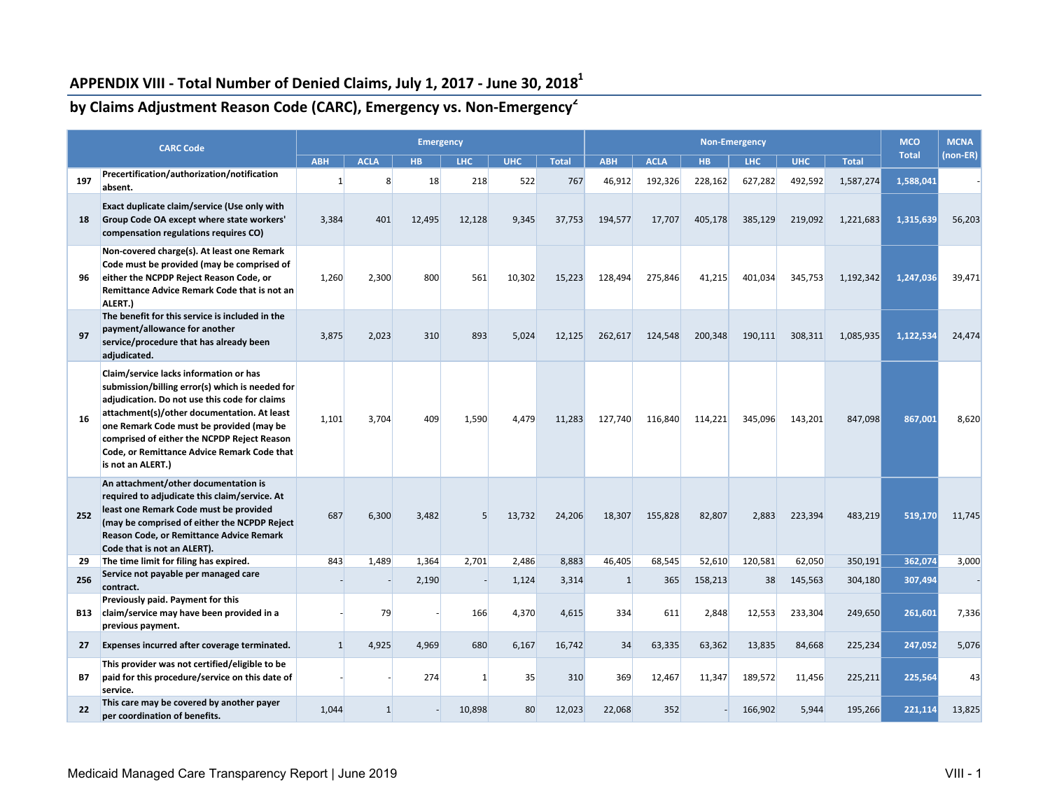## **APPENDIX VIII ‐ Total Number of Denied Claims, July 1, 2017 ‐ June 30, 2018<sup>1</sup>**

## **by Claims Adjustment Reason Code (CARC), Emergency vs. Non‐Emergency<sup>2</sup>**

|            | <b>CARC Code</b>                                                                                                                                                                                                                                                                                                                                         |              |              | <b>Emergency</b> |            |            |              |              |             |         | <b>Non-Emergency</b> |            |              | <b>MCO</b>   | <b>MCNA</b> |
|------------|----------------------------------------------------------------------------------------------------------------------------------------------------------------------------------------------------------------------------------------------------------------------------------------------------------------------------------------------------------|--------------|--------------|------------------|------------|------------|--------------|--------------|-------------|---------|----------------------|------------|--------------|--------------|-------------|
|            |                                                                                                                                                                                                                                                                                                                                                          | <b>ABH</b>   | <b>ACLA</b>  | HB.              | <b>LHC</b> | <b>UHC</b> | <b>Total</b> | <b>ABH</b>   | <b>ACLA</b> | HB.     | <b>LHC</b>           | <b>UHC</b> | <b>Total</b> | <b>Total</b> | (non-ER)    |
| 197        | Precertification/authorization/notification<br>absent.                                                                                                                                                                                                                                                                                                   | $\mathbf{1}$ | 8            | 18               | 218        | 522        | 767          | 46,912       | 192,326     | 228,162 | 627,282              | 492,592    | 1,587,274    | 1,588,041    |             |
| 18         | Exact duplicate claim/service (Use only with<br>Group Code OA except where state workers'<br>compensation regulations requires CO)                                                                                                                                                                                                                       | 3,384        | 401          | 12,495           | 12,128     | 9,345      | 37,753       | 194,577      | 17,707      | 405,178 | 385,129              | 219,092    | 1,221,683    | 1,315,639    | 56,203      |
| 96         | Non-covered charge(s). At least one Remark<br>Code must be provided (may be comprised of<br>either the NCPDP Reject Reason Code, or<br>Remittance Advice Remark Code that is not an<br>ALERT.)                                                                                                                                                           | 1,260        | 2.300        | 800              | 561        | 10,302     | 15,223       | 128,494      | 275.846     | 41,215  | 401.034              | 345,753    | 1,192,342    | 1,247,036    | 39,471      |
| 97         | The benefit for this service is included in the<br>payment/allowance for another<br>service/procedure that has already been<br>adjudicated.                                                                                                                                                                                                              | 3,875        | 2,023        | 310              | 893        | 5,024      | 12,125       | 262,617      | 124,548     | 200,348 | 190,111              | 308,311    | 1,085,935    | 1,122,534    | 24,474      |
| 16         | Claim/service lacks information or has<br>submission/billing error(s) which is needed for<br>adjudication. Do not use this code for claims<br>attachment(s)/other documentation. At least<br>one Remark Code must be provided (may be<br>comprised of either the NCPDP Reject Reason<br>Code, or Remittance Advice Remark Code that<br>is not an ALERT.) | 1,101        | 3,704        | 409              | 1,590      | 4,479      | 11,283       | 127,740      | 116,840     | 114,221 | 345,096              | 143,201    | 847,098      | 867,001      | 8,620       |
| 252        | An attachment/other documentation is<br>required to adjudicate this claim/service. At<br>least one Remark Code must be provided<br>(may be comprised of either the NCPDP Reject<br>Reason Code, or Remittance Advice Remark<br>Code that is not an ALERT).                                                                                               | 687          | 6,300        | 3,482            | 5          | 13,732     | 24,206       | 18,307       | 155,828     | 82,807  | 2,883                | 223,394    | 483,219      | 519,170      | 11,745      |
| 29         | The time limit for filing has expired.                                                                                                                                                                                                                                                                                                                   | 843          | 1,489        | 1,364            | 2,701      | 2,486      | 8,883        | 46,405       | 68,545      | 52,610  | 120,581              | 62,050     | 350,191      | 362,074      | 3,000       |
| 256        | Service not payable per managed care<br>contract.                                                                                                                                                                                                                                                                                                        |              |              | 2,190            |            | 1,124      | 3,314        | $\mathbf{1}$ | 365         | 158,213 | 38                   | 145,563    | 304,180      | 307,494      |             |
| <b>B13</b> | Previously paid. Payment for this<br>claim/service may have been provided in a<br>previous payment.                                                                                                                                                                                                                                                      |              | 79           |                  | 166        | 4.370      | 4.615        | 334          | 611         | 2.848   | 12,553               | 233,304    | 249,650      | 261,601      | 7,336       |
| 27         | Expenses incurred after coverage terminated.                                                                                                                                                                                                                                                                                                             | $\mathbf{1}$ | 4,925        | 4,969            | 680        | 6,167      | 16,742       | 34           | 63,335      | 63,362  | 13,835               | 84,668     | 225,234      | 247,052      | 5,076       |
| <b>B7</b>  | This provider was not certified/eligible to be<br>paid for this procedure/service on this date of<br>service.                                                                                                                                                                                                                                            |              |              | 274              | 1          | 35         | 310          | 369          | 12,467      | 11,347  | 189,572              | 11,456     | 225,211      | 225,564      | 43          |
| 22         | This care may be covered by another payer<br>per coordination of benefits.                                                                                                                                                                                                                                                                               | 1,044        | $\mathbf{1}$ |                  | 10,898     | 80         | 12,023       | 22,068       | 352         |         | 166,902              | 5,944      | 195,266      | 221,114      | 13,825      |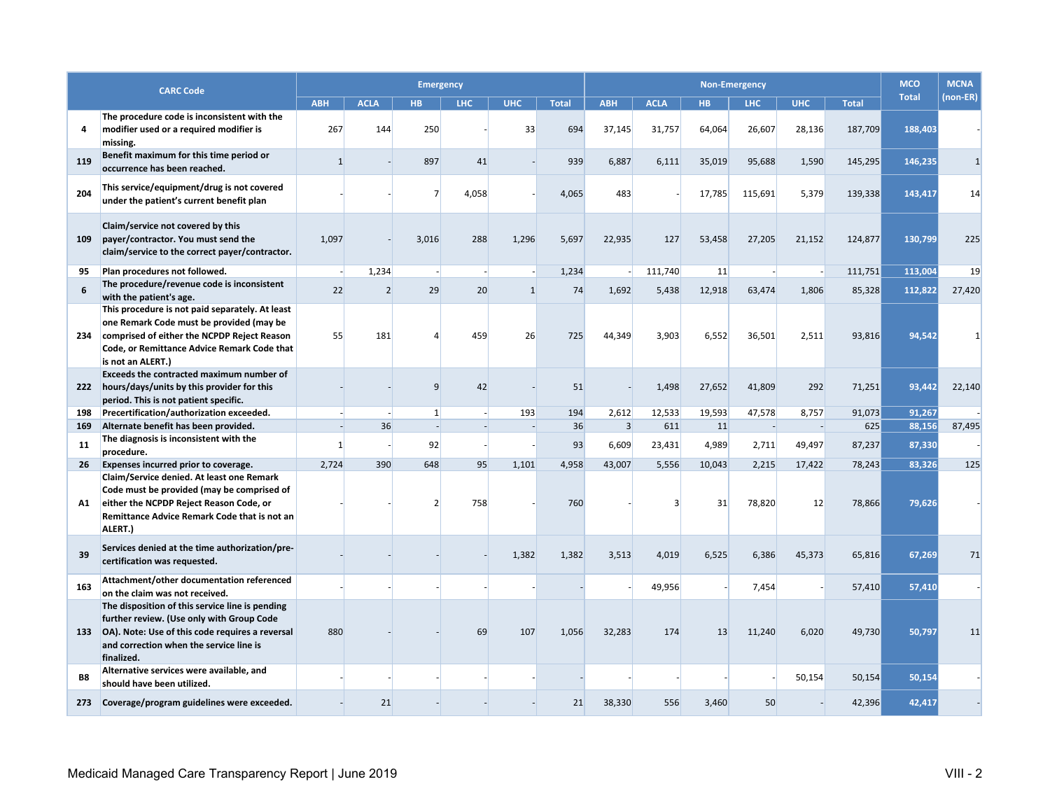|     | <b>CARC Code</b>                                                                                                                                                                                               |              |                | <b>Emergency</b> |            |            |              |                |             |        | <b>Non-Emergency</b> |            |              | <b>MCO</b>   | <b>MCNA</b> |
|-----|----------------------------------------------------------------------------------------------------------------------------------------------------------------------------------------------------------------|--------------|----------------|------------------|------------|------------|--------------|----------------|-------------|--------|----------------------|------------|--------------|--------------|-------------|
|     |                                                                                                                                                                                                                | <b>ABH</b>   | <b>ACLA</b>    | <b>HB</b>        | <b>LHC</b> | <b>UHC</b> | <b>Total</b> | <b>ABH</b>     | <b>ACLA</b> | HB.    | <b>LHC</b>           | <b>UHC</b> | <b>Total</b> | <b>Total</b> | (non-ER)    |
| 4   | The procedure code is inconsistent with the<br>modifier used or a required modifier is<br>missing.                                                                                                             | 267          | 144            | 250              |            | 33         | 694          | 37,145         | 31,757      | 64,064 | 26,607               | 28,136     | 187,709      | 188,403      |             |
| 119 | Benefit maximum for this time period or<br>occurrence has been reached.                                                                                                                                        | $\mathbf{1}$ |                | 897              | 41         |            | 939          | 6,887          | 6,111       | 35,019 | 95,688               | 1,590      | 145,295      | 146,235      |             |
| 204 | This service/equipment/drug is not covered<br>under the patient's current benefit plan                                                                                                                         |              |                | $\overline{7}$   | 4,058      |            | 4,065        | 483            |             | 17,785 | 115,691              | 5,379      | 139,338      | 143,417      | 14          |
| 109 | Claim/service not covered by this<br>payer/contractor. You must send the<br>claim/service to the correct payer/contractor.                                                                                     | 1,097        |                | 3,016            | 288        | 1,296      | 5,697        | 22,935         | 127         | 53,458 | 27,205               | 21,152     | 124,877      | 130,799      | 225         |
| 95  | Plan procedures not followed.                                                                                                                                                                                  | $\sim$       | 1,234          |                  |            |            | 1,234        |                | 111,740     | 11     |                      |            | 111,751      | 113.004      | 19          |
| 6   | The procedure/revenue code is inconsistent<br>with the patient's age.                                                                                                                                          | 22           | $\overline{2}$ | 29               | 20         | $1\vert$   | 74           | 1,692          | 5,438       | 12,918 | 63,474               | 1,806      | 85,328       | 112,822      | 27,420      |
| 234 | This procedure is not paid separately. At least<br>one Remark Code must be provided (may be<br>comprised of either the NCPDP Reject Reason<br>Code, or Remittance Advice Remark Code that<br>is not an ALERT.) | 55           | 181            | $\Delta$         | 459        | 26         | 725          | 44,349         | 3,903       | 6,552  | 36,501               | 2,511      | 93,816       | 94,542       |             |
| 222 | Exceeds the contracted maximum number of<br>hours/days/units by this provider for this<br>period. This is not patient specific.                                                                                |              |                | 9                | 42         |            | 51           |                | 1,498       | 27,652 | 41,809               | 292        | 71,251       | 93,442       | 22,140      |
| 198 | Precertification/authorization exceeded.                                                                                                                                                                       |              |                | $1\overline{ }$  |            | 193        | 194          | 2,612          | 12,533      | 19,593 | 47,578               | 8,757      | 91,073       | 91,267       |             |
| 169 | Alternate benefit has been provided.                                                                                                                                                                           |              | 36             | $\sim$           | ۰          |            | 36           | $\overline{3}$ | 611         | 11     | - 1                  |            | 625          | 88,156       | 87,495      |
| 11  | The diagnosis is inconsistent with the<br>procedure.                                                                                                                                                           | $\mathbf{1}$ |                | 92               |            |            | 93           | 6,609          | 23,431      | 4,989  | 2,711                | 49,497     | 87,237       | 87,330       |             |
| 26  | Expenses incurred prior to coverage.                                                                                                                                                                           | 2,724        | 390            | 648              | 95         | 1,101      | 4,958        | 43,007         | 5,556       | 10,043 | 2,215                | 17,422     | 78,243       | 83,326       | 125         |
| A1  | Claim/Service denied. At least one Remark<br>Code must be provided (may be comprised of<br>either the NCPDP Reject Reason Code, or<br>Remittance Advice Remark Code that is not an<br>ALERT.)                  |              |                | $\mathcal{P}$    | 758        |            | 760          |                | 3           | 31     | 78,820               | 12         | 78,866       | 79,626       |             |
| 39  | Services denied at the time authorization/pre-<br>certification was requested.                                                                                                                                 |              |                |                  |            | 1,382      | 1,382        | 3,513          | 4,019       | 6,525  | 6,386                | 45,373     | 65,816       | 67,269       | 71          |
| 163 | Attachment/other documentation referenced<br>on the claim was not received.                                                                                                                                    |              |                |                  |            |            |              |                | 49,956      |        | 7,454                |            | 57,410       | 57,410       |             |
| 133 | The disposition of this service line is pending<br>further review. (Use only with Group Code<br>OA). Note: Use of this code requires a reversal<br>and correction when the service line is<br>finalized.       | 880          |                |                  | 69         | 107        | 1,056        | 32,283         | 174         | 13     | 11,240               | 6,020      | 49,730       | 50,797       | 11          |
| B8  | Alternative services were available, and<br>should have been utilized.                                                                                                                                         |              |                |                  |            |            |              |                |             |        |                      | 50,154     | 50,154       | 50,154       |             |
| 273 | Coverage/program guidelines were exceeded.                                                                                                                                                                     |              | 21             |                  |            |            | 21           | 38,330         | 556         | 3,460  | 50                   |            | 42,396       | 42,417       |             |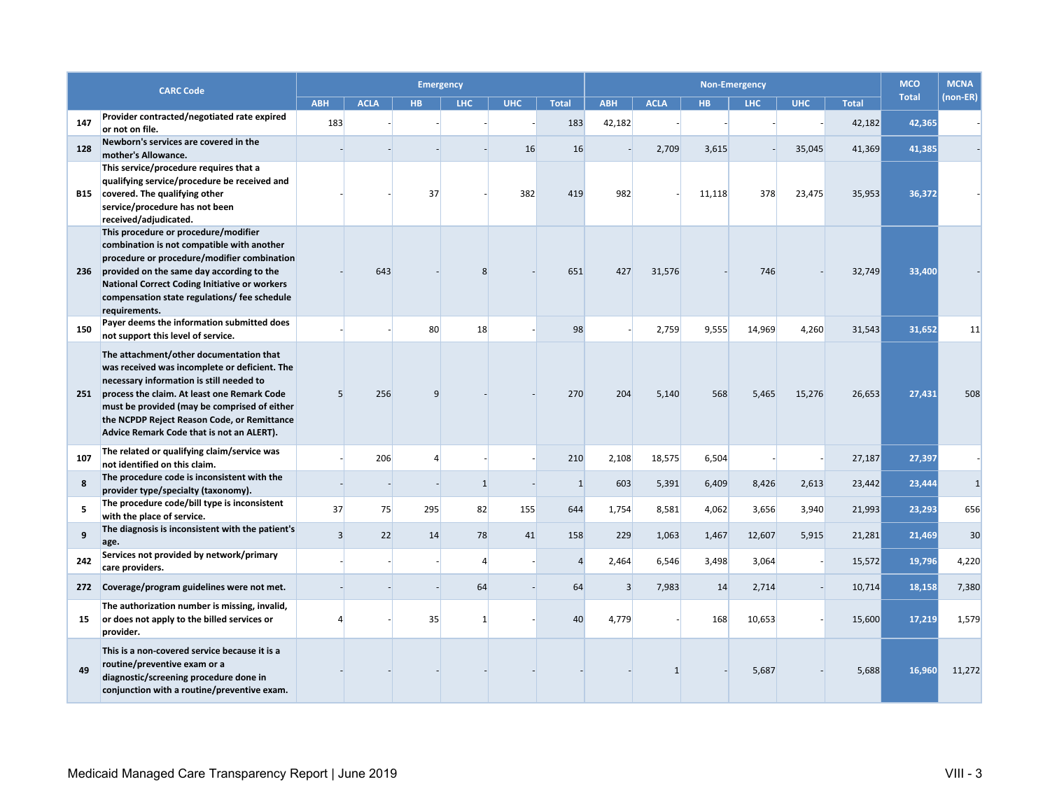|                 | <b>CARC Code</b>                                                                                                                                                                                                                                                                                                                |                |             | <b>Emergency</b> |              |            |                |                |             |        | <b>Non-Emergency</b> |            |              | <b>MCO</b>   | <b>MCNA</b>  |
|-----------------|---------------------------------------------------------------------------------------------------------------------------------------------------------------------------------------------------------------------------------------------------------------------------------------------------------------------------------|----------------|-------------|------------------|--------------|------------|----------------|----------------|-------------|--------|----------------------|------------|--------------|--------------|--------------|
|                 |                                                                                                                                                                                                                                                                                                                                 | <b>ABH</b>     | <b>ACLA</b> | HB.              | <b>LHC</b>   | <b>UHC</b> | <b>Total</b>   | <b>ABH</b>     | <b>ACLA</b> | HB.    | <b>LHC</b>           | <b>UHC</b> | <b>Total</b> | <b>Total</b> | (non-ER)     |
| 147             | Provider contracted/negotiated rate expired<br>or not on file.                                                                                                                                                                                                                                                                  | 183            |             |                  |              |            | 183            | 42,182         |             |        |                      |            | 42,182       | 42,365       |              |
| 128             | Newborn's services are covered in the<br>mother's Allowance.                                                                                                                                                                                                                                                                    |                |             |                  |              | 16         | 16             |                | 2,709       | 3,615  |                      | 35,045     | 41,369       | 41,385       |              |
| <b>B15</b>      | This service/procedure requires that a<br>qualifying service/procedure be received and<br>covered. The qualifying other<br>service/procedure has not been<br>received/adjudicated.                                                                                                                                              |                |             | 37               |              | 382        | 419            | 982            |             | 11,118 | 378                  | 23,475     | 35,953       | 36,372       |              |
| 236             | This procedure or procedure/modifier<br>combination is not compatible with another<br>procedure or procedure/modifier combination<br>provided on the same day according to the<br><b>National Correct Coding Initiative or workers</b><br>compensation state regulations/ fee schedule<br>requirements.                         |                | 643         |                  | 8            |            | 651            | 427            | 31,576      |        | 746                  |            | 32,749       | 33,400       |              |
| 150             | Payer deems the information submitted does<br>not support this level of service.                                                                                                                                                                                                                                                |                |             | 80               | 18           |            | 98             |                | 2,759       | 9,555  | 14,969               | 4,260      | 31,543       | 31,652       | 11           |
| 251             | The attachment/other documentation that<br>was received was incomplete or deficient. The<br>necessary information is still needed to<br>process the claim. At least one Remark Code<br>must be provided (may be comprised of either<br>the NCPDP Reject Reason Code, or Remittance<br>Advice Remark Code that is not an ALERT). | 5              | 256         |                  |              |            | 270            | 204            | 5,140       | 568    | 5,465                | 15,276     | 26,653       | 27,431       | 508          |
| 107             | The related or qualifying claim/service was<br>not identified on this claim.                                                                                                                                                                                                                                                    |                | 206         | $\overline{4}$   |              |            | 210            | 2,108          | 18,575      | 6,504  |                      |            | 27,187       | 27,397       |              |
| 8               | The procedure code is inconsistent with the<br>provider type/specialty (taxonomy).                                                                                                                                                                                                                                              |                |             |                  | $\mathbf{1}$ |            | $\mathbf{1}$   | 603            | 5,391       | 6,409  | 8,426                | 2,613      | 23,442       | 23,444       | $\mathbf{1}$ |
| 5               | The procedure code/bill type is inconsistent<br>with the place of service.                                                                                                                                                                                                                                                      | 37             | 75          | 295              | 82           | 155        | 644            | 1,754          | 8,581       | 4,062  | 3,656                | 3,940      | 21,993       | 23,293       | 656          |
| 9               | The diagnosis is inconsistent with the patient's<br>age.                                                                                                                                                                                                                                                                        | $\overline{3}$ | 22          | 14               | 78           | 41         | 158            | 229            | 1,063       | 1,467  | 12,607               | 5,915      | 21,281       | 21,469       | 30           |
| 242             | Services not provided by network/primary<br>care providers.                                                                                                                                                                                                                                                                     |                |             |                  | 4            |            | $\overline{4}$ | 2,464          | 6,546       | 3,498  | 3,064                |            | 15,572       | 19,796       | 4,220        |
|                 | 272 Coverage/program guidelines were not met.                                                                                                                                                                                                                                                                                   |                |             |                  | 64           |            | 64             | $\overline{3}$ | 7,983       | 14     | 2,714                |            | 10,714       | 18,158       | 7,380        |
| 15 <sub>1</sub> | The authorization number is missing, invalid,<br>or does not apply to the billed services or<br>provider.                                                                                                                                                                                                                       | 4              |             | 35               | $\mathbf{1}$ |            | 40             | 4,779          |             | 168    | 10,653               |            | 15,600       | 17,219       | 1,579        |
| 49              | This is a non-covered service because it is a<br>routine/preventive exam or a<br>diagnostic/screening procedure done in<br>conjunction with a routine/preventive exam.                                                                                                                                                          |                |             |                  |              |            |                |                |             |        | 5,687                |            | 5,688        | 16,960       | 11,272       |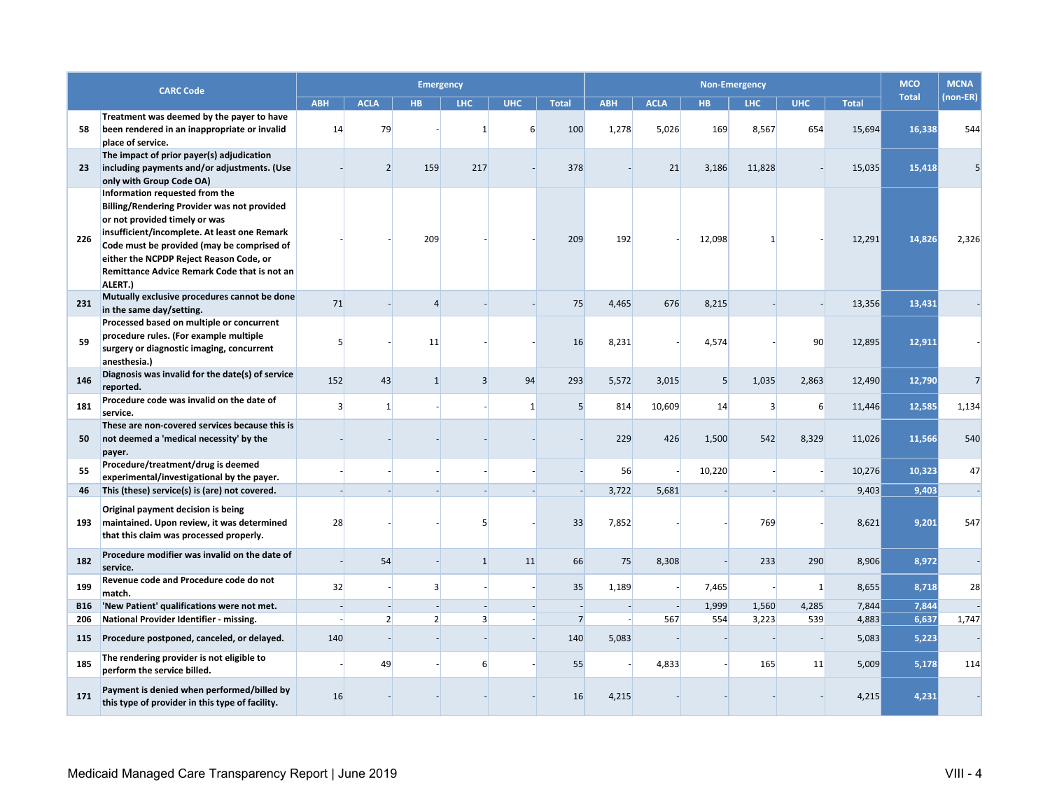|            | <b>CARC Code</b>                                                                                                                                                                                                                                                                                                   |                         |                | <b>Emergency</b> |                |            |              |            |             |        | <b>Non-Emergency</b> |              |              | <b>MCO</b>   | <b>MCNA</b>    |
|------------|--------------------------------------------------------------------------------------------------------------------------------------------------------------------------------------------------------------------------------------------------------------------------------------------------------------------|-------------------------|----------------|------------------|----------------|------------|--------------|------------|-------------|--------|----------------------|--------------|--------------|--------------|----------------|
|            |                                                                                                                                                                                                                                                                                                                    | <b>ABH</b>              | <b>ACLA</b>    | HB.              | <b>LHC</b>     | <b>UHC</b> | <b>Total</b> | <b>ABH</b> | <b>ACLA</b> | HB.    | <b>LHC</b>           | <b>UHC</b>   | <b>Total</b> | <b>Total</b> | (non-ER)       |
| 58         | Treatment was deemed by the payer to have<br>been rendered in an inappropriate or invalid<br>place of service.                                                                                                                                                                                                     | 14                      | 79             |                  | 1              | 6          | 100          | 1,278      | 5,026       | 169    | 8,567                | 654          | 15,694       | 16,338       | 544            |
| 23         | The impact of prior payer(s) adjudication<br>including payments and/or adjustments. (Use<br>only with Group Code OA)                                                                                                                                                                                               |                         | 2              | 159              | 217            |            | 378          |            | 21          | 3,186  | 11,828               |              | 15,035       | 15,418       |                |
| 226        | Information requested from the<br>Billing/Rendering Provider was not provided<br>or not provided timely or was<br>insufficient/incomplete. At least one Remark<br>Code must be provided (may be comprised of<br>either the NCPDP Reject Reason Code, or<br>Remittance Advice Remark Code that is not an<br>ALERT.) |                         |                | 209              |                |            | 209          | 192        |             | 12,098 |                      |              | 12,291       | 14,826       | 2,326          |
| 231        | Mutually exclusive procedures cannot be done<br>in the same day/setting.                                                                                                                                                                                                                                           | 71                      |                | 4                |                |            | 75           | 4,465      | 676         | 8,215  |                      |              | 13,356       | 13,431       |                |
| 59         | Processed based on multiple or concurrent<br>procedure rules. (For example multiple<br>surgery or diagnostic imaging, concurrent<br>anesthesia.)                                                                                                                                                                   | 5 <sup>1</sup>          |                | 11               |                |            | 16           | 8,231      |             | 4,574  |                      | 90           | 12,895       | 12,911       |                |
| 146        | Diagnosis was invalid for the date(s) of service<br>reported.                                                                                                                                                                                                                                                      | 152                     | 43             | $1\overline{ }$  | 3 <sup>1</sup> | 94         | 293          | 5,572      | 3,015       | 5      | 1,035                | 2,863        | 12,490       | 12,790       | $\overline{7}$ |
| 181        | Procedure code was invalid on the date of<br>service.                                                                                                                                                                                                                                                              | $\overline{\mathbf{3}}$ | $\mathbf{1}$   |                  |                |            | 5            | 814        | 10,609      | 14     | з                    | 6            | 11,446       | 12,585       | 1,134          |
| 50         | These are non-covered services because this is<br>not deemed a 'medical necessity' by the<br>payer.                                                                                                                                                                                                                |                         |                |                  |                |            |              | 229        | 426         | 1,500  | 542                  | 8,329        | 11,026       | 11,566       | 540            |
| 55         | Procedure/treatment/drug is deemed<br>experimental/investigational by the payer.                                                                                                                                                                                                                                   |                         |                |                  |                |            |              | 56         |             | 10,220 |                      |              | 10,276       | 10,323       | 47             |
| 46         | This (these) service(s) is (are) not covered.                                                                                                                                                                                                                                                                      |                         |                |                  |                |            |              | 3,722      | 5.681       |        |                      |              | 9,403        | 9.403        |                |
| 193        | Original payment decision is being<br>maintained. Upon review, it was determined<br>that this claim was processed properly.                                                                                                                                                                                        | 28                      |                |                  | 5              |            | 33           | 7,852      |             |        | 769                  |              | 8,621        | 9,201        | 547            |
| 182        | Procedure modifier was invalid on the date of<br>service.                                                                                                                                                                                                                                                          |                         | 54             |                  | $\mathbf{1}$   | 11         | 66           | 75         | 8,308       |        | 233                  | 290          | 8,906        | 8,972        |                |
| 199        | Revenue code and Procedure code do not<br>match.                                                                                                                                                                                                                                                                   | 32                      |                | $\overline{3}$   |                |            | 35           | 1,189      |             | 7,465  |                      | $\mathbf{1}$ | 8,655        | 8,718        | 28             |
| <b>B16</b> | 'New Patient' qualifications were not met.                                                                                                                                                                                                                                                                         |                         |                |                  |                |            |              |            |             | 1,999  | 1,560                | 4,285        | 7,844        | 7,844        |                |
| 206        | National Provider Identifier - missing.                                                                                                                                                                                                                                                                            |                         | 2 <sup>1</sup> | 2 <sup>1</sup>   | $\overline{3}$ |            | 7            |            | 567         | 554    | 3,223                | 539          | 4,883        | 6,637        | 1,747          |
| 115        | Procedure postponed, canceled, or delayed.                                                                                                                                                                                                                                                                         | 140                     |                |                  |                |            | 140          | 5,083      |             |        |                      |              | 5,083        | 5,223        |                |
| 185        | The rendering provider is not eligible to<br>perform the service billed.                                                                                                                                                                                                                                           |                         | 49             |                  | 6              |            | 55           |            | 4,833       |        | 165                  | 11           | 5,009        | 5,178        | 114            |
| 171        | Payment is denied when performed/billed by<br>this type of provider in this type of facility.                                                                                                                                                                                                                      | 16                      |                |                  |                |            | 16           | 4,215      |             |        |                      |              | 4,215        | 4,231        |                |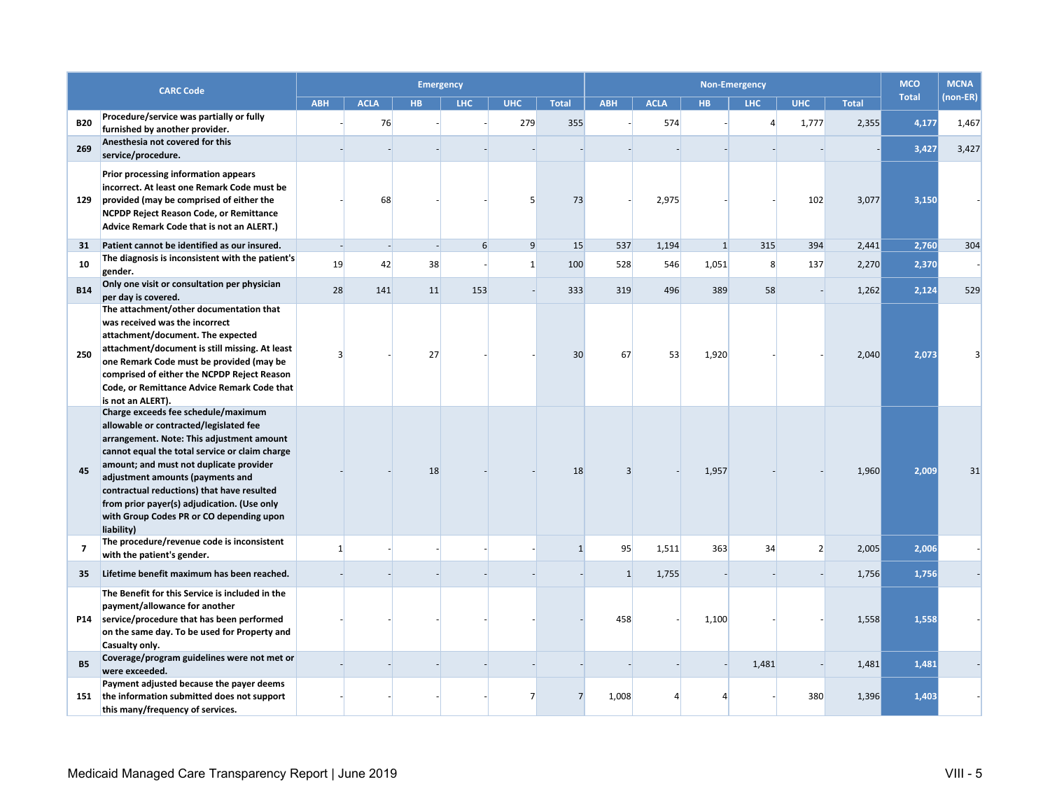|                | <b>CARC Code</b>                                                                                                                                                                                                                                                                                                                                                                                                   |              |             | <b>Emergency</b> |            |              |              |              |             |              | <b>Non-Emergency</b> |                |              | <b>MCO</b>   | <b>MCNA</b> |
|----------------|--------------------------------------------------------------------------------------------------------------------------------------------------------------------------------------------------------------------------------------------------------------------------------------------------------------------------------------------------------------------------------------------------------------------|--------------|-------------|------------------|------------|--------------|--------------|--------------|-------------|--------------|----------------------|----------------|--------------|--------------|-------------|
|                |                                                                                                                                                                                                                                                                                                                                                                                                                    | <b>ABH</b>   | <b>ACLA</b> | <b>HB</b>        | <b>LHC</b> | <b>UHC</b>   | Total        | <b>ABH</b>   | <b>ACLA</b> | HB.          | LHC                  | <b>UHC</b>     | <b>Total</b> | <b>Total</b> | (non-ER)    |
| <b>B20</b>     | Procedure/service was partially or fully<br>furnished by another provider.                                                                                                                                                                                                                                                                                                                                         |              | 76          |                  |            | 279          | 355          |              | 574         |              | $\overline{4}$       | 1,777          | 2,355        | 4,177        | 1,467       |
| 269            | Anesthesia not covered for this<br>service/procedure.                                                                                                                                                                                                                                                                                                                                                              |              |             |                  |            |              |              |              |             |              |                      |                |              | 3,427        | 3,427       |
| 129            | Prior processing information appears<br>incorrect. At least one Remark Code must be<br>provided (may be comprised of either the<br>NCPDP Reject Reason Code, or Remittance<br>Advice Remark Code that is not an ALERT.)                                                                                                                                                                                            |              | 68          |                  |            |              | 73           |              | 2,975       |              |                      | 102            | 3,077        | 3,150        |             |
| 31             | Patient cannot be identified as our insured.                                                                                                                                                                                                                                                                                                                                                                       |              |             |                  | 6          | 9            | 15           | 537          | 1,194       | $\mathbf{1}$ | 315                  | 394            | 2,441        | 2,760        | 304         |
| 10             | The diagnosis is inconsistent with the patient's<br>gender.                                                                                                                                                                                                                                                                                                                                                        | 19           | 42          | 38               |            | $\mathbf{1}$ | 100          | 528          | 546         | 1,051        | 8                    | 137            | 2,270        | 2,370        |             |
| <b>B14</b>     | Only one visit or consultation per physician<br>per day is covered.                                                                                                                                                                                                                                                                                                                                                | 28           | 141         | 11               | 153        |              | 333          | 319          | 496         | 389          | 58                   |                | 1,262        | 2,124        | 529         |
| 250            | The attachment/other documentation that<br>was received was the incorrect<br>attachment/document. The expected<br>attachment/document is still missing. At least<br>one Remark Code must be provided (may be<br>comprised of either the NCPDP Reject Reason<br>Code, or Remittance Advice Remark Code that<br>is not an ALERT).                                                                                    | 3            |             | 27               |            |              | 30           | 67           | 53          | 1,920        |                      |                | 2,040        | 2,073        |             |
| 45             | Charge exceeds fee schedule/maximum<br>allowable or contracted/legislated fee<br>arrangement. Note: This adjustment amount<br>cannot equal the total service or claim charge<br>amount; and must not duplicate provider<br>adjustment amounts (payments and<br>contractual reductions) that have resulted<br>from prior payer(s) adjudication. (Use only<br>with Group Codes PR or CO depending upon<br>liability) |              |             | 18               |            |              | 18           | 3            |             | 1,957        |                      |                | 1,960        | 2,009        | 31          |
| $\overline{7}$ | The procedure/revenue code is inconsistent<br>with the patient's gender.                                                                                                                                                                                                                                                                                                                                           | $\mathbf{1}$ |             |                  |            |              | $\mathbf{1}$ | 95           | 1,511       | 363          | 34                   | $\overline{2}$ | 2,005        | 2,006        |             |
| 35             | Lifetime benefit maximum has been reached.                                                                                                                                                                                                                                                                                                                                                                         |              |             |                  |            |              |              | $\mathbf{1}$ | 1,755       |              |                      |                | 1,756        | 1,756        |             |
| <b>P14</b>     | The Benefit for this Service is included in the<br>payment/allowance for another<br>service/procedure that has been performed<br>on the same day. To be used for Property and<br>Casualty only.                                                                                                                                                                                                                    |              |             |                  |            |              |              | 458          |             | 1,100        |                      |                | 1,558        | 1,558        |             |
| <b>B5</b>      | Coverage/program guidelines were not met or<br>were exceeded.                                                                                                                                                                                                                                                                                                                                                      |              |             |                  |            |              |              |              |             |              | 1,481                |                | 1,481        | 1,481        |             |
| 151            | Payment adjusted because the payer deems<br>the information submitted does not support<br>this many/frequency of services.                                                                                                                                                                                                                                                                                         |              |             |                  |            |              |              | 1,008        |             |              |                      | 380            | 1,396        | 1,403        |             |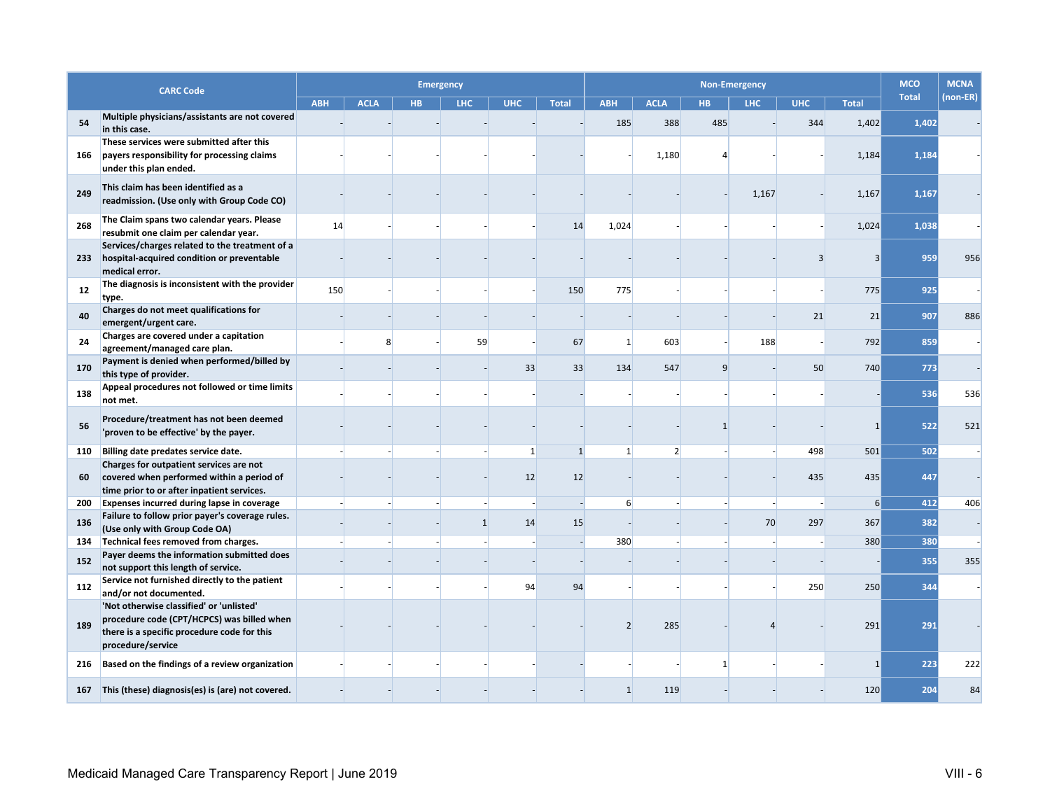|     | <b>CARC Code</b>                                                                                                                                           |            |             | <b>Emergency</b> |              |                |              |                          |                |              | <b>Non-Emergency</b> |                |                 | <b>MCO</b>   | <b>MCNA</b> |
|-----|------------------------------------------------------------------------------------------------------------------------------------------------------------|------------|-------------|------------------|--------------|----------------|--------------|--------------------------|----------------|--------------|----------------------|----------------|-----------------|--------------|-------------|
|     |                                                                                                                                                            | <b>ABH</b> | <b>ACLA</b> | HB.              | <b>LHC</b>   | <b>UHC</b>     | <b>Total</b> | <b>ABH</b>               | <b>ACLA</b>    | HB.          | <b>LHC</b>           | <b>UHC</b>     | <b>Total</b>    | <b>Total</b> | (non-ER)    |
| 54  | Multiple physicians/assistants are not covered<br>in this case.                                                                                            |            |             |                  |              |                |              | 185                      | 388            | 485          |                      | 344            | 1,402           | 1,402        |             |
| 166 | These services were submitted after this<br>payers responsibility for processing claims<br>under this plan ended.                                          |            |             |                  |              |                |              |                          | 1,180          | $\Delta$     |                      |                | 1,184           | 1,184        |             |
| 249 | This claim has been identified as a<br>readmission. (Use only with Group Code CO)                                                                          |            |             |                  |              |                |              |                          |                |              | 1,167                |                | 1,167           | 1,167        |             |
| 268 | The Claim spans two calendar years. Please<br>resubmit one claim per calendar year.                                                                        | 14         |             |                  |              |                | 14           | 1,024                    |                |              |                      |                | 1,024           | 1,038        |             |
| 233 | Services/charges related to the treatment of a<br>hospital-acquired condition or preventable<br>medical error.                                             |            |             |                  |              |                |              |                          |                |              |                      | $\overline{3}$ | $\overline{3}$  | 959          | 956         |
| 12  | The diagnosis is inconsistent with the provider<br>type.                                                                                                   | 150        |             |                  |              |                | 150          | 775                      |                |              |                      |                | 775             | 925          |             |
| 40  | Charges do not meet qualifications for<br>emergent/urgent care.                                                                                            |            |             |                  |              |                |              |                          |                |              |                      | 21             | 21              | 907          | 886         |
| 24  | Charges are covered under a capitation<br>agreement/managed care plan.                                                                                     |            | 8           |                  | 59           |                | 67           | $\mathbf{1}$             | 603            |              | 188                  |                | 792             | 859          |             |
| 170 | Payment is denied when performed/billed by<br>this type of provider.                                                                                       |            |             |                  |              | 33             | 33           | 134                      | 547            | 9            |                      | 50             | 740             | 773          |             |
| 138 | Appeal procedures not followed or time limits<br>not met.                                                                                                  |            |             |                  |              |                |              |                          |                |              |                      |                |                 | 536          | 536         |
| 56  | Procedure/treatment has not been deemed<br>'proven to be effective' by the payer.                                                                          |            |             |                  |              |                |              |                          |                | $\mathbf{1}$ |                      |                | $\mathbf{1}$    | 522          | 521         |
| 110 | Billing date predates service date.                                                                                                                        |            |             |                  |              | $\overline{1}$ | 1            | $\mathbf{1}$             | $\overline{2}$ |              |                      | 498            | 501             | 502          |             |
| 60  | Charges for outpatient services are not<br>covered when performed within a period of<br>time prior to or after inpatient services.                         |            |             |                  |              | 12             | 12           |                          |                |              |                      | 435            | 435             | 447          |             |
| 200 | Expenses incurred during lapse in coverage                                                                                                                 |            |             |                  |              |                |              | 6                        |                |              |                      |                | $6 \overline{}$ | 412          | 406         |
| 136 | Failure to follow prior payer's coverage rules.<br>(Use only with Group Code OA)                                                                           |            |             |                  | $\mathbf{1}$ | 14             | 15           |                          |                |              | 70                   | 297            | 367             | 382          |             |
| 134 | Technical fees removed from charges.                                                                                                                       |            |             |                  |              |                |              | 380                      |                |              |                      |                | 380             | 380          |             |
| 152 | Payer deems the information submitted does<br>not support this length of service.                                                                          |            |             |                  |              |                |              |                          |                |              |                      |                |                 | 355          | 355         |
| 112 | Service not furnished directly to the patient<br>and/or not documented.                                                                                    |            |             |                  |              | 94             | 94           |                          |                |              |                      | 250            | 250             | 344          |             |
| 189 | 'Not otherwise classified' or 'unlisted'<br>procedure code (CPT/HCPCS) was billed when<br>there is a specific procedure code for this<br>procedure/service |            |             |                  |              |                |              | $\overline{\phantom{0}}$ | 285            |              |                      |                | 291             | 291          |             |
| 216 | Based on the findings of a review organization                                                                                                             |            |             |                  |              |                |              |                          |                | $\mathbf{1}$ |                      |                | $\mathbf{1}$    | 223          | 222         |
| 167 | This (these) diagnosis(es) is (are) not covered.                                                                                                           |            |             |                  |              |                |              | $\mathbf{1}$             | 119            |              |                      |                | 120             | 204          | 84          |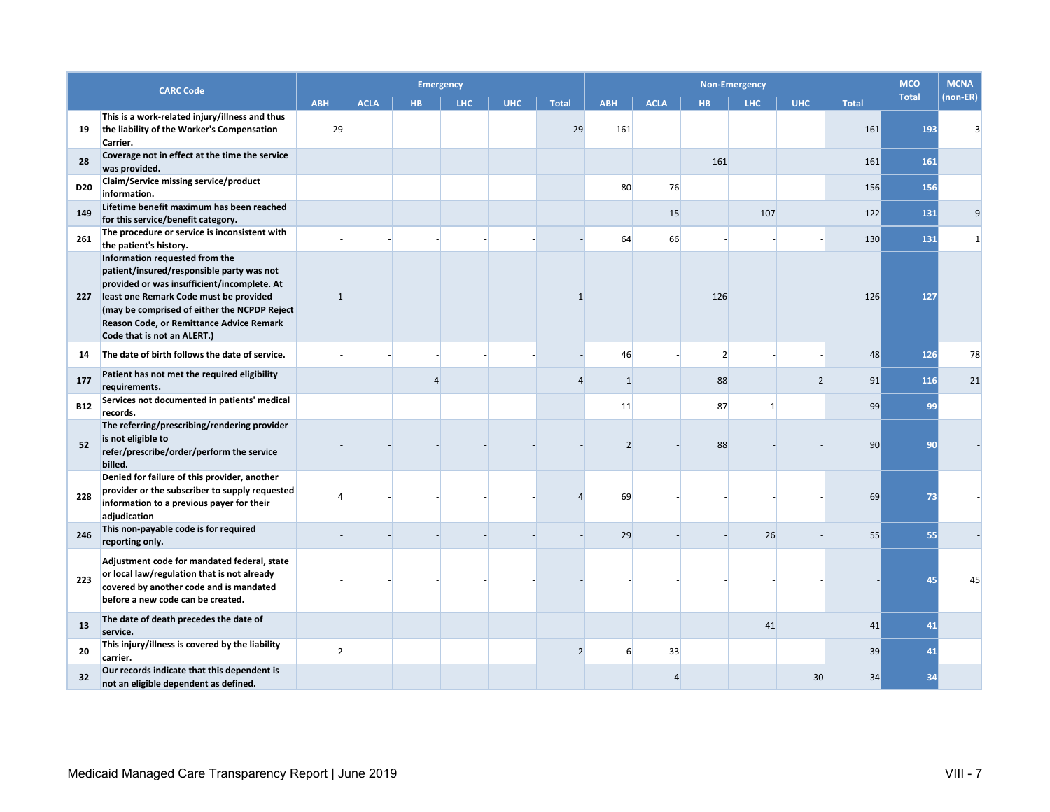|                 | <b>CARC Code</b>                                                                                                                                                                                                                                                                                |               |             | <b>Emergency</b> |            |            |               |              |             |                | <b>Non-Emergency</b> |                |              | <b>MCO</b>   | <b>MCNA</b> |
|-----------------|-------------------------------------------------------------------------------------------------------------------------------------------------------------------------------------------------------------------------------------------------------------------------------------------------|---------------|-------------|------------------|------------|------------|---------------|--------------|-------------|----------------|----------------------|----------------|--------------|--------------|-------------|
|                 |                                                                                                                                                                                                                                                                                                 | <b>ABH</b>    | <b>ACLA</b> | H <sub>B</sub>   | <b>LHC</b> | <b>UHC</b> | <b>Total</b>  | <b>ABH</b>   | <b>ACLA</b> | HB.            | <b>LHC</b>           | <b>UHC</b>     | <b>Total</b> | <b>Total</b> | (non-ER)    |
| 19              | This is a work-related injury/illness and thus<br>the liability of the Worker's Compensation<br>Carrier.                                                                                                                                                                                        | 29            |             |                  |            |            | 29            | 161          |             |                |                      |                | 161          | 193          |             |
| 28              | Coverage not in effect at the time the service<br>was provided.                                                                                                                                                                                                                                 |               |             |                  |            |            |               |              |             | 161            |                      |                | 161          | 161          |             |
| D <sub>20</sub> | Claim/Service missing service/product<br>information.                                                                                                                                                                                                                                           |               |             |                  |            |            |               | 80           | 76          |                |                      |                | 156          | 156          |             |
| 149             | Lifetime benefit maximum has been reached<br>for this service/benefit category.                                                                                                                                                                                                                 |               |             |                  |            |            |               |              | 15          |                | 107                  |                | 122          | 131          |             |
| 261             | The procedure or service is inconsistent with<br>the patient's history.                                                                                                                                                                                                                         |               |             |                  |            |            |               | 64           | 66          |                |                      |                | 130          | 131          |             |
| 227             | Information requested from the<br>patient/insured/responsible party was not<br>provided or was insufficient/incomplete. At<br>least one Remark Code must be provided<br>(may be comprised of either the NCPDP Reject<br>Reason Code, or Remittance Advice Remark<br>Code that is not an ALERT.) | $\mathbf{1}$  |             |                  |            |            |               |              |             | 126            |                      |                | 126          | 127          |             |
| 14              | The date of birth follows the date of service.                                                                                                                                                                                                                                                  |               |             |                  |            |            |               | 46           |             | $\overline{2}$ |                      |                | 48           | 126          | 78          |
| 177             | Patient has not met the required eligibility<br>requirements.                                                                                                                                                                                                                                   |               |             | $\overline{4}$   |            |            |               | $\mathbf{1}$ |             | 88             |                      | $\overline{2}$ | 91           | 116          | 21          |
| <b>B12</b>      | Services not documented in patients' medical<br>records.                                                                                                                                                                                                                                        |               |             |                  |            |            |               | 11           |             | 87             | $\mathbf{1}$         |                | 99           | 99           |             |
| 52              | The referring/prescribing/rendering provider<br>is not eligible to<br>refer/prescribe/order/perform the service<br>billed.                                                                                                                                                                      |               |             |                  |            |            |               |              |             | 88             |                      |                | 90           | 90           |             |
| 228             | Denied for failure of this provider, another<br>provider or the subscriber to supply requested<br>information to a previous payer for their<br>adjudication                                                                                                                                     |               |             |                  |            |            |               | 69           |             |                |                      |                | 69           | 73           |             |
| 246             | This non-payable code is for required<br>reporting only.                                                                                                                                                                                                                                        |               |             |                  |            |            |               | 29           |             |                | 26                   |                | 55           | 55           |             |
| 223             | Adjustment code for mandated federal, state<br>or local law/regulation that is not already<br>covered by another code and is mandated<br>before a new code can be created.                                                                                                                      |               |             |                  |            |            |               |              |             |                |                      |                |              |              |             |
| 13              | The date of death precedes the date of<br>service.                                                                                                                                                                                                                                              |               |             |                  |            |            |               |              |             |                | 41                   |                | 41           | 41           |             |
| 20              | This injury/illness is covered by the liability<br>carrier.                                                                                                                                                                                                                                     | $\mathcal{P}$ |             |                  |            |            | $\mathcal{P}$ | 6            | 33          |                |                      |                | 39           | 41           |             |
| 32              | Our records indicate that this dependent is<br>not an eligible dependent as defined.                                                                                                                                                                                                            |               |             |                  |            |            |               |              |             |                |                      | 30             | 34           | 34           |             |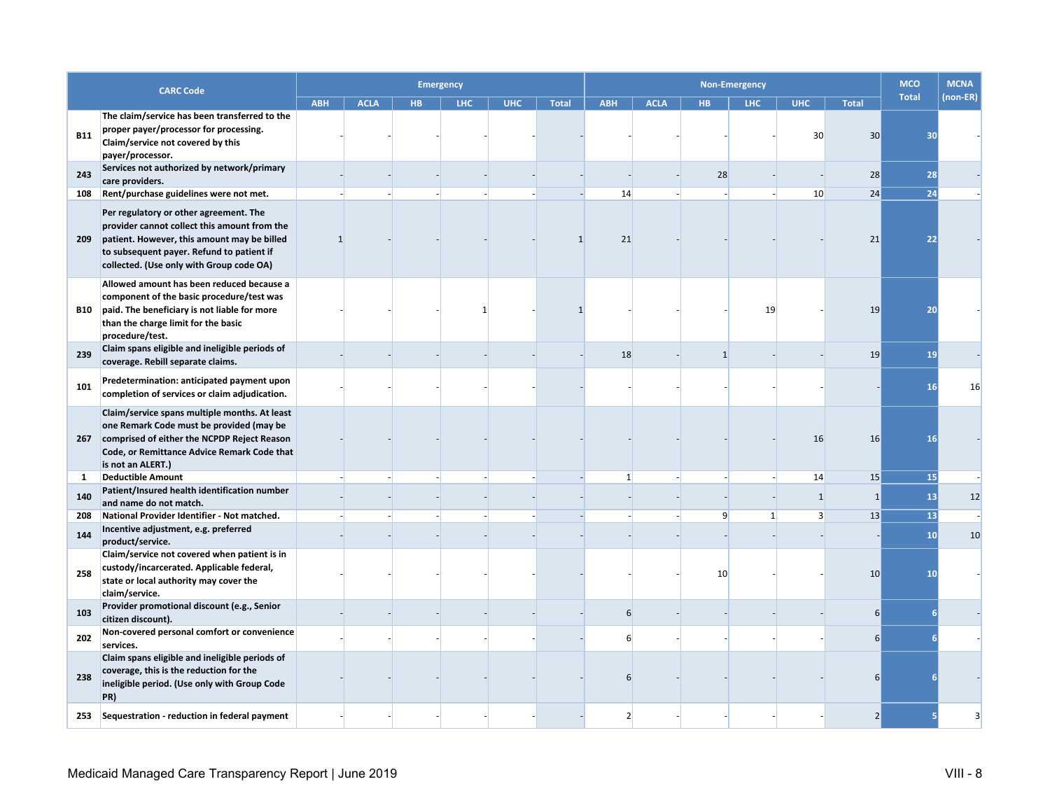|              | <b>CARC Code</b>                                                                                                                                                                                                               |            |             |     | <b>Emergency</b> |            |              |              |             |              | <b>Non-Emergency</b> |                |                 | <b>MCO</b>   | <b>MCNA</b> |
|--------------|--------------------------------------------------------------------------------------------------------------------------------------------------------------------------------------------------------------------------------|------------|-------------|-----|------------------|------------|--------------|--------------|-------------|--------------|----------------------|----------------|-----------------|--------------|-------------|
|              |                                                                                                                                                                                                                                | <b>ABH</b> | <b>ACLA</b> | HB. | <b>LHC</b>       | <b>UHC</b> | <b>Total</b> | <b>ABH</b>   | <b>ACLA</b> | HB.          | <b>LHC</b>           | <b>UHC</b>     | <b>Total</b>    | <b>Total</b> | (non-ER)    |
| <b>B11</b>   | The claim/service has been transferred to the<br>proper payer/processor for processing.<br>Claim/service not covered by this<br>payer/processor.                                                                               |            |             |     |                  |            |              |              |             |              |                      | 30             | 30 <sup>°</sup> | 30           |             |
| 243          | Services not authorized by network/primary<br>care providers.                                                                                                                                                                  |            |             |     |                  |            |              |              |             | 28           |                      |                | 28              | 28           |             |
| 108          | Rent/purchase guidelines were not met.                                                                                                                                                                                         |            |             |     |                  |            |              | 14           |             |              |                      | 10             | 24              | 24           |             |
| 209          | Per regulatory or other agreement. The<br>provider cannot collect this amount from the<br>patient. However, this amount may be billed<br>to subsequent payer. Refund to patient if<br>collected. (Use only with Group code OA) | 1          |             |     |                  |            |              | 21           |             |              |                      |                | 21              | 22           |             |
| <b>B10</b>   | Allowed amount has been reduced because a<br>component of the basic procedure/test was<br>paid. The beneficiary is not liable for more<br>than the charge limit for the basic<br>procedure/test.                               |            |             |     |                  |            |              |              |             |              | 19                   |                | 19              | 20           |             |
| 239          | Claim spans eligible and ineligible periods of<br>coverage. Rebill separate claims.                                                                                                                                            |            |             |     |                  |            |              | 18           |             | $\mathbf{1}$ |                      |                | 19              | 19           |             |
| 101          | Predetermination: anticipated payment upon<br>completion of services or claim adjudication.                                                                                                                                    |            |             |     |                  |            |              |              |             |              |                      |                |                 | 16           | 16          |
| 267          | Claim/service spans multiple months. At least<br>one Remark Code must be provided (may be<br>comprised of either the NCPDP Reject Reason<br>Code, or Remittance Advice Remark Code that<br>is not an ALERT.)                   |            |             |     |                  |            |              |              |             |              |                      | 16             | 16              | 16           |             |
| $\mathbf{1}$ | <b>Deductible Amount</b>                                                                                                                                                                                                       |            |             |     |                  |            |              | $\mathbf{1}$ |             |              |                      | 14             | 15              | 15           |             |
| 140          | Patient/Insured health identification number<br>and name do not match.                                                                                                                                                         |            |             |     |                  |            |              |              |             |              |                      | $1\vert$       | $\mathbf{1}$    | 13           | 12          |
| 208          | National Provider Identifier - Not matched.                                                                                                                                                                                    |            |             |     |                  |            |              |              |             | 9            | $\mathbf{1}$         | $\overline{3}$ | 13              | 13           |             |
| 144          | Incentive adjustment, e.g. preferred<br>product/service.                                                                                                                                                                       |            |             |     |                  |            |              |              |             |              |                      |                |                 | 10           | 10          |
| 258          | Claim/service not covered when patient is in<br>custody/incarcerated. Applicable federal,<br>state or local authority may cover the<br>claim/service.                                                                          |            |             |     |                  |            |              |              |             | 10           |                      |                | 10              | 10           |             |
| 103          | Provider promotional discount (e.g., Senior<br>citizen discount).                                                                                                                                                              |            |             |     |                  |            |              | 6            |             |              |                      |                | 6               |              |             |
| 202          | Non-covered personal comfort or convenience<br>services.                                                                                                                                                                       |            |             |     |                  |            |              | 6            |             |              |                      |                | 6               |              |             |
| 238          | Claim spans eligible and ineligible periods of<br>coverage, this is the reduction for the<br>ineligible period. (Use only with Group Code<br>PR)                                                                               |            |             |     |                  |            |              |              |             |              |                      |                | 6               |              |             |
| 253          | Sequestration - reduction in federal payment                                                                                                                                                                                   |            |             |     |                  |            |              | 2            |             |              |                      |                | $\overline{2}$  |              |             |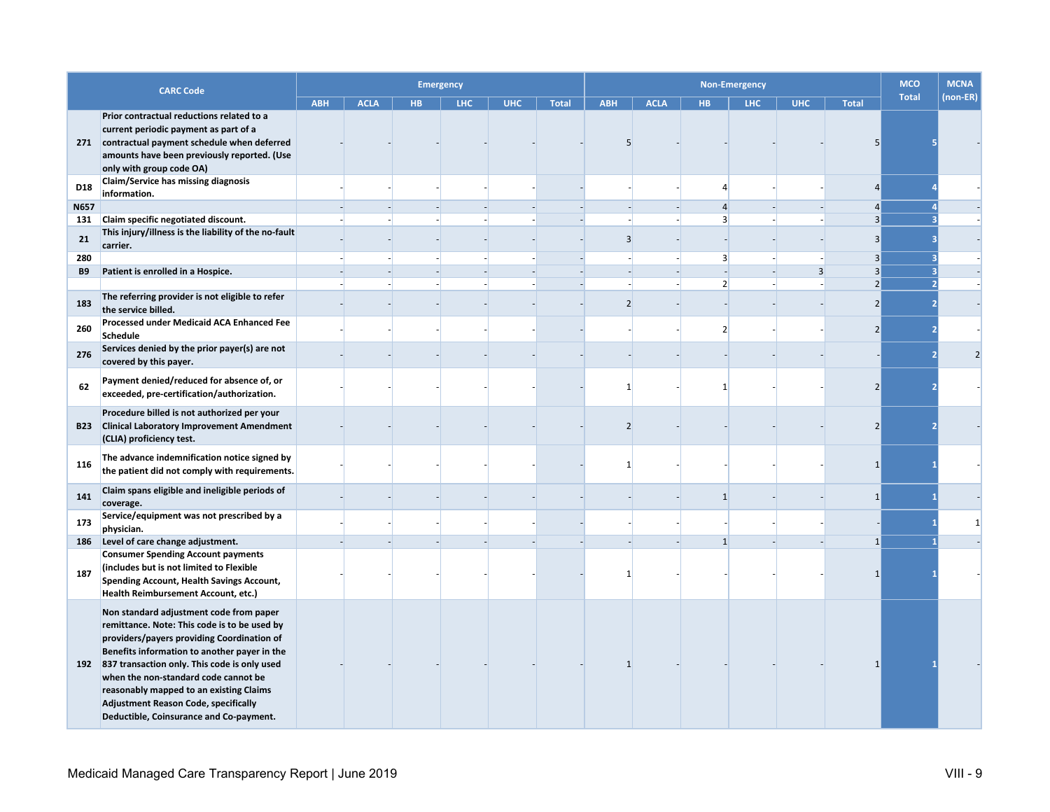|             | <b>CARC Code</b>                                                                                                                                                                                                                      |            |             |           | <b>Emergency</b> |            |              |                |             |                | <b>Non-Emergency</b> |            |                | <b>MCO</b>   | <b>MCNA</b> |
|-------------|---------------------------------------------------------------------------------------------------------------------------------------------------------------------------------------------------------------------------------------|------------|-------------|-----------|------------------|------------|--------------|----------------|-------------|----------------|----------------------|------------|----------------|--------------|-------------|
|             |                                                                                                                                                                                                                                       | <b>ABH</b> | <b>ACLA</b> | <b>HB</b> | <b>LHC</b>       | <b>UHC</b> | <b>Total</b> | <b>ABH</b>     | <b>ACLA</b> | HB.            | <b>LHC</b>           | <b>UHC</b> | <b>Total</b>   | <b>Total</b> | (non-ER)    |
|             | Prior contractual reductions related to a<br>current periodic payment as part of a<br>271 contractual payment schedule when deferred<br>amounts have been previously reported. (Use<br>only with group code OA)                       |            |             |           |                  |            |              |                |             |                |                      |            | 5              |              |             |
| D18         | Claim/Service has missing diagnosis<br>information.                                                                                                                                                                                   |            |             |           |                  |            |              |                |             | Δ              |                      |            | $\overline{4}$ |              |             |
| <b>N657</b> |                                                                                                                                                                                                                                       |            |             |           |                  |            |              |                |             | $\Delta$       |                      |            | $\overline{4}$ |              |             |
| 131         | Claim specific negotiated discount.                                                                                                                                                                                                   |            |             |           |                  |            |              |                |             | $\overline{3}$ |                      |            | $\overline{3}$ |              |             |
| 21          | This injury/illness is the liability of the no-fault<br>carrier.                                                                                                                                                                      |            |             |           |                  |            |              | 3              |             |                |                      |            | $\overline{3}$ |              |             |
| 280         |                                                                                                                                                                                                                                       |            |             |           |                  |            |              |                |             | $\overline{3}$ |                      |            | $\overline{3}$ |              |             |
| <b>B9</b>   | Patient is enrolled in a Hospice.                                                                                                                                                                                                     |            | H           |           |                  |            | ٠            |                |             |                |                      | 3          | $\overline{3}$ |              |             |
|             |                                                                                                                                                                                                                                       |            |             |           |                  |            | ۰            |                |             | $\overline{2}$ |                      |            | $\overline{2}$ |              |             |
| 183         | The referring provider is not eligible to refer<br>the service billed.                                                                                                                                                                |            |             |           |                  |            |              | $\overline{2}$ |             |                |                      |            | $\overline{2}$ |              |             |
| 260         | Processed under Medicaid ACA Enhanced Fee<br><b>Schedule</b>                                                                                                                                                                          |            |             |           |                  |            |              |                |             | $\overline{2}$ |                      |            | $\overline{2}$ |              |             |
| 276         | Services denied by the prior payer(s) are not<br>covered by this payer.                                                                                                                                                               |            |             |           |                  |            |              |                |             |                |                      |            |                |              |             |
| 62          | Payment denied/reduced for absence of, or<br>exceeded, pre-certification/authorization.                                                                                                                                               |            |             |           |                  |            |              | 1              |             | 1              |                      |            | $\overline{2}$ |              |             |
| <b>B23</b>  | Procedure billed is not authorized per your<br><b>Clinical Laboratory Improvement Amendment</b><br>(CLIA) proficiency test.                                                                                                           |            |             |           |                  |            |              | $\overline{2}$ |             |                |                      |            | $\overline{2}$ |              |             |
| 116         | The advance indemnification notice signed by<br>the patient did not comply with requirements.                                                                                                                                         |            |             |           |                  |            |              | 1              |             |                |                      |            | $\mathbf{1}$   |              |             |
| 141         | Claim spans eligible and ineligible periods of<br>coverage.                                                                                                                                                                           |            |             |           |                  |            |              |                |             | $\mathbf{1}$   |                      |            | 1              |              |             |
| 173         | Service/equipment was not prescribed by a<br>physician.                                                                                                                                                                               |            |             |           |                  |            |              |                |             |                |                      |            |                |              |             |
| 186         | Level of care change adjustment.                                                                                                                                                                                                      |            |             |           |                  |            |              |                |             | $\vert$ 1      |                      |            | $\mathbf{1}$   |              |             |
| 187         | <b>Consumer Spending Account payments</b><br>(includes but is not limited to Flexible<br>Spending Account, Health Savings Account,<br>Health Reimbursement Account, etc.)                                                             |            |             |           |                  |            |              |                |             |                |                      |            | $\mathbf{1}$   |              |             |
| 192         | Non standard adjustment code from paper<br>remittance. Note: This code is to be used by<br>providers/payers providing Coordination of<br>Benefits information to another payer in the<br>837 transaction only. This code is only used |            |             |           |                  |            |              |                |             |                |                      |            |                |              |             |
|             | when the non-standard code cannot be<br>reasonably mapped to an existing Claims<br><b>Adjustment Reason Code, specifically</b><br>Deductible, Coinsurance and Co-payment.                                                             |            |             |           |                  |            |              |                |             |                |                      |            |                |              |             |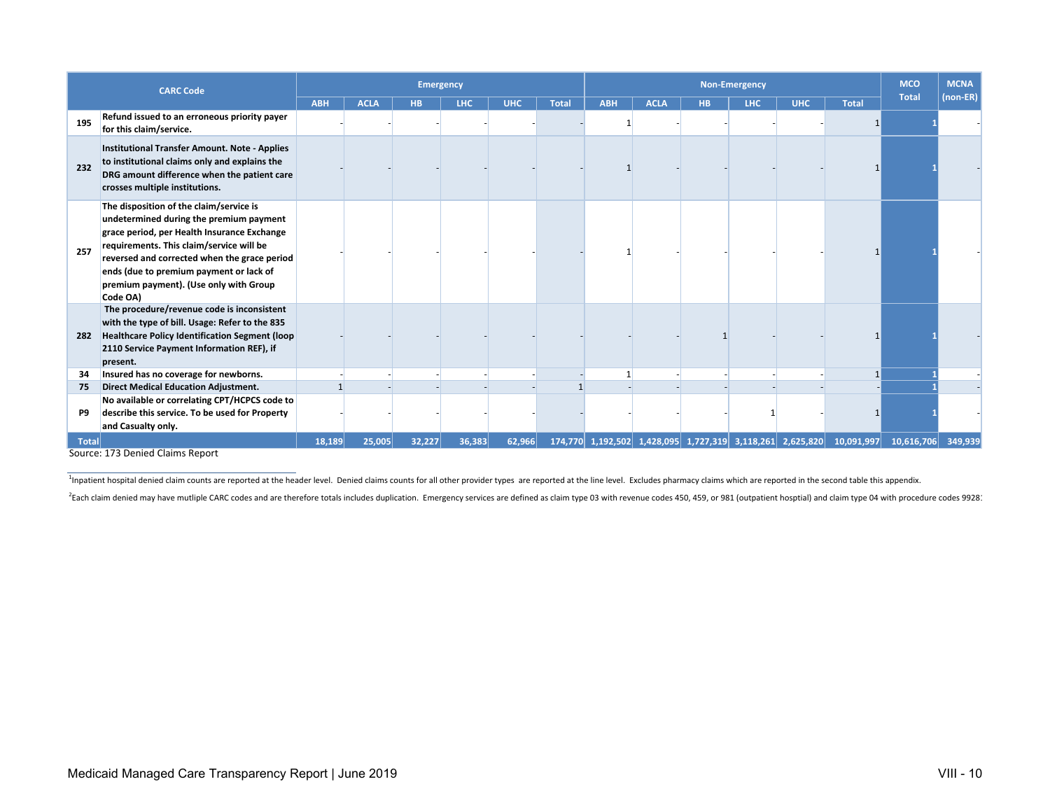|              | <b>CARC Code</b>                                                                                                                                                                                                                                                                                                               |            |             | <b>Emergency</b> |        |            |              |            |             |                                                             | <b>Non-Emergency</b> |            |              | <b>MCO</b>   | <b>MCNA</b> |
|--------------|--------------------------------------------------------------------------------------------------------------------------------------------------------------------------------------------------------------------------------------------------------------------------------------------------------------------------------|------------|-------------|------------------|--------|------------|--------------|------------|-------------|-------------------------------------------------------------|----------------------|------------|--------------|--------------|-------------|
|              |                                                                                                                                                                                                                                                                                                                                | <b>ABH</b> | <b>ACLA</b> | <b>HB</b>        | LHC    | <b>UHC</b> | <b>Total</b> | <b>ABH</b> | <b>ACLA</b> | HB.                                                         | LHC                  | <b>UHC</b> | <b>Total</b> | <b>Total</b> | (non-ER)    |
| 195          | Refund issued to an erroneous priority payer<br>for this claim/service.                                                                                                                                                                                                                                                        |            |             |                  |        |            |              |            |             |                                                             |                      |            |              |              |             |
| 232          | <b>Institutional Transfer Amount. Note - Applies</b><br>to institutional claims only and explains the<br>DRG amount difference when the patient care<br>crosses multiple institutions.                                                                                                                                         |            |             |                  |        |            |              |            |             |                                                             |                      |            |              |              |             |
| 257          | The disposition of the claim/service is<br>undetermined during the premium payment<br>grace period, per Health Insurance Exchange<br>requirements. This claim/service will be<br>reversed and corrected when the grace period<br>ends (due to premium payment or lack of<br>premium payment). (Use only with Group<br>Code OA) |            |             |                  |        |            |              |            |             |                                                             |                      |            |              |              |             |
| 282          | The procedure/revenue code is inconsistent<br>with the type of bill. Usage: Refer to the 835<br><b>Healthcare Policy Identification Segment (loop</b><br>2110 Service Payment Information REF), if<br>present.                                                                                                                 |            |             |                  |        |            |              |            |             |                                                             |                      |            |              |              |             |
| 34           | Insured has no coverage for newborns.                                                                                                                                                                                                                                                                                          |            |             |                  |        |            |              |            |             |                                                             |                      |            |              |              |             |
| 75           | <b>Direct Medical Education Adjustment.</b>                                                                                                                                                                                                                                                                                    |            |             |                  |        |            |              |            |             |                                                             |                      |            |              |              |             |
| P9           | No available or correlating CPT/HCPCS code to<br>describe this service. To be used for Property<br>and Casualty only.                                                                                                                                                                                                          |            |             |                  |        |            |              |            |             |                                                             |                      |            |              |              |             |
| <b>Total</b> | 4.70 Bested Claims Beneat                                                                                                                                                                                                                                                                                                      | 18.189     | 25,005      | 32,227           | 36,383 | 62,966     |              |            |             | $174,770$ 1,192,502 1,428,095 1,727,319 3,118,261 2,625,820 |                      |            | 10,091,997   | 10,616,706   | 349,939     |

Source: 173 Denied Claims Report

<sup>1</sup>Inpatient hospital denied claim counts are reported at the header level. Denied claims counts for all other provider types are reported at the line level. Excludes pharmacy claims which are reported in the second table

<sup>2</sup>Each claim denied may have mutliple CARC codes and are therefore totals includes duplication. Emergency services are defined as claim type 03 with revenue codes 450, 459, or 981 (outpatient hosptial) and claim type 04 w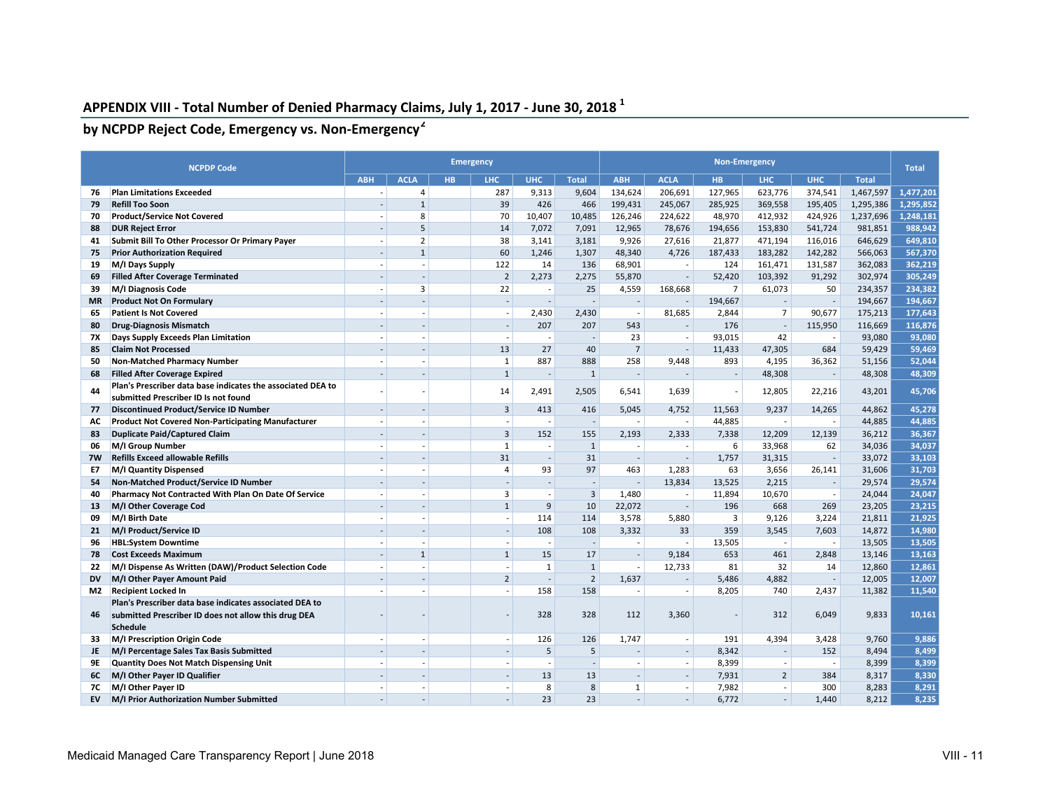## **APPENDIX VIII ‐ Total Number of Denied Pharmacy Claims, July 1, 2017 ‐ June 30, 2018 <sup>1</sup>**

**by NCPDP Reject Code, Emergency vs. Non‐Emergency<sup>2</sup>**

|           | <b>NCPDP Code</b>                                                                                   |                          |                          |     | <b>Emergency</b>         |                          |                          |                          |                          | <b>Non-Emergency</b>     |                          |                          |              | <b>Total</b> |
|-----------|-----------------------------------------------------------------------------------------------------|--------------------------|--------------------------|-----|--------------------------|--------------------------|--------------------------|--------------------------|--------------------------|--------------------------|--------------------------|--------------------------|--------------|--------------|
|           |                                                                                                     | <b>ABH</b>               | <b>ACLA</b>              | HB. | LHC                      | <b>UHC</b>               | <b>Total</b>             | <b>ABH</b>               | <b>ACLA</b>              | <b>HB</b>                | <b>LHC</b>               | <b>UHC</b>               | <b>Total</b> |              |
| 76        | <b>Plan Limitations Exceeded</b>                                                                    |                          | $\overline{4}$           |     | 287                      | 9,313                    | 9,604                    | 134,624                  | 206,691                  | 127,965                  | 623,776                  | 374,541                  | 1,467,597    | 1,477,201    |
| 79        | <b>Refill Too Soon</b>                                                                              |                          | $\mathbf{1}$             |     | 39                       | 426                      | 466                      | 199,431                  | 245,067                  | 285,925                  | 369,558                  | 195,405                  | 1,295,386    | 1,295,852    |
| 70        | <b>Product/Service Not Covered</b>                                                                  |                          | 8                        |     | 70                       | 10,407                   | 10,485                   | 126,246                  | 224,622                  | 48,970                   | 412,932                  | 424,926                  | 1,237,696    | 1,248,181    |
| 88        | <b>DUR Reject Error</b>                                                                             |                          | 5                        |     | 14                       | 7,072                    | 7,091                    | 12,965                   | 78,676                   | 194,656                  | 153,830                  | 541,724                  | 981,851      | 988,942      |
| 41        | Submit Bill To Other Processor Or Primary Payer                                                     | $\overline{\phantom{a}}$ | $\overline{2}$           |     | 38                       | 3,141                    | 3,181                    | 9,926                    | 27,616                   | 21,877                   | 471,194                  | 116,016                  | 646,629      | 649,810      |
| 75        | <b>Prior Authorization Required</b>                                                                 | $\sim$                   | $\mathbf{1}$             |     | 60                       | 1,246                    | 1,307                    | 48,340                   | 4,726                    | 187,433                  | 183,282                  | 142,282                  | 566,063      | 567,370      |
| 19        | M/I Days Supply                                                                                     |                          | ÷,                       |     | 122                      | 14                       | 136                      | 68,901                   | $\overline{a}$           | 124                      | 161,471                  | 131,587                  | 362,083      | 362.219      |
| 69        | <b>Filled After Coverage Terminated</b>                                                             |                          | $\overline{\phantom{a}}$ |     | $\overline{2}$           | 2,273                    | 2,275                    | 55,870                   | $\sim$                   | 52,420                   | 103,392                  | 91,292                   | 302,974      | 305,249      |
| 39        | M/I Diagnosis Code                                                                                  |                          | $\overline{3}$           |     | 22                       |                          | 25                       | 4,559                    | 168,668                  | $\overline{7}$           | 61,073                   | 50                       | 234,357      | 234,382      |
| <b>MR</b> | <b>Product Not On Formulary</b>                                                                     | $\sim$                   | $\overline{a}$           |     | $\overline{\phantom{a}}$ | $\overline{\phantom{a}}$ | $\overline{\phantom{a}}$ | $\overline{\phantom{a}}$ |                          | 194,667                  | $\sim$                   | $\overline{\phantom{a}}$ | 194,667      | 194,667      |
| 65        | <b>Patient Is Not Covered</b>                                                                       |                          |                          |     | $\overline{\phantom{a}}$ | 2,430                    | 2,430                    | $\overline{\phantom{a}}$ | 81,685                   | 2,844                    | $\overline{7}$           | 90,677                   | 175,213      | 177,643      |
| 80        | <b>Drug-Diagnosis Mismatch</b>                                                                      |                          | $\overline{a}$           |     | $\overline{\phantom{a}}$ | 207                      | 207                      | 543                      | $\sim$                   | 176                      | $\sim$                   | 115,950                  | 116,669      | 116,876      |
| <b>7X</b> | Days Supply Exceeds Plan Limitation                                                                 |                          |                          |     | $\sim$                   | $\overline{\phantom{a}}$ | $\sim$                   | 23                       | $\overline{\phantom{a}}$ | 93,015                   | 42                       |                          | 93,080       | 93,080       |
| 85        | <b>Claim Not Processed</b>                                                                          | $\sim$                   | $\overline{\phantom{a}}$ |     | 13                       | 27                       | 40                       | $\overline{7}$           | $\sim$                   | 11,433                   | 47,305                   | 684                      | 59,429       | 59,469       |
| 50        | <b>Non-Matched Pharmacy Number</b>                                                                  | $\overline{\phantom{a}}$ | $\overline{\phantom{a}}$ |     | $\mathbf{1}$             | 887                      | 888                      | 258                      | 9,448                    | 893                      | 4,195                    | 36,362                   | 51,156       | 52,044       |
| 68        | <b>Filled After Coverage Expired</b>                                                                | $\overline{\phantom{a}}$ | $\overline{a}$           |     | $\mathbf{1}$             | $\sim$                   | $\mathbf{1}$             | $\mathcal{L}$            | $\overline{\phantom{a}}$ | $\overline{\phantom{a}}$ | 48,308                   | $\sim$                   | 48,308       | 48,309       |
| 44        | Plan's Prescriber data base indicates the associated DEA to<br>submitted Prescriber ID Is not found |                          |                          |     | 14                       | 2,491                    | 2,505                    | 6,541                    | 1,639                    | $\overline{a}$           | 12,805                   | 22,216                   | 43,201       | 45,706       |
| 77        | <b>Discontinued Product/Service ID Number</b>                                                       |                          |                          |     | $\overline{3}$           | 413                      | 416                      | 5,045                    | 4,752                    | 11,563                   | 9,237                    | 14,265                   | 44,862       | 45,278       |
| AC        | <b>Product Not Covered Non-Participating Manufacturer</b>                                           | $\overline{\phantom{a}}$ | ÷,                       |     | $\sim$                   | $\overline{\phantom{a}}$ | $\overline{\phantom{a}}$ | ÷,                       | $\overline{a}$           | 44,885                   | $\overline{\phantom{a}}$ | $\sim$                   | 44,885       | 44,885       |
| 83        | <b>Duplicate Paid/Captured Claim</b>                                                                | $\sim$                   | L,                       |     | 3                        | 152                      | 155                      | 2,193                    | 2,333                    | 7,338                    | 12,209                   | 12,139                   | 36,212       | 36,367       |
| 06        | M/I Group Number                                                                                    |                          |                          |     | $\mathbf{1}$             | $\overline{\phantom{a}}$ | $\mathbf{1}$             | $\overline{a}$           | $\overline{a}$           | 6                        | 33,968                   | 62                       | 34,036       | 34,037       |
| 7W        | <b>Refills Exceed allowable Refills</b>                                                             |                          |                          |     | 31                       | $\sim$                   | 31                       | $\sim$                   | $\sim$                   | 1,757                    | 31,315                   | $\overline{\phantom{a}}$ | 33,072       | 33,103       |
| E7        | M/I Quantity Dispensed                                                                              |                          |                          |     | 4                        | 93                       | 97                       | 463                      | 1,283                    | 63                       | 3,656                    | 26,141                   | 31,606       | 31,703       |
| 54        | Non-Matched Product/Service ID Number                                                               | $\overline{a}$           | $\overline{a}$           |     | $\sim$                   | $\overline{a}$           | $\overline{\phantom{a}}$ | $\overline{\phantom{a}}$ | 13,834                   | 13,525                   | 2,215                    | $\sim$                   | 29,574       | 29,574       |
| 40        | Pharmacy Not Contracted With Plan On Date Of Service                                                |                          |                          |     | 3                        | $\overline{a}$           | $\overline{3}$           | 1,480                    | $\overline{a}$           | 11,894                   | 10,670                   | $\overline{\phantom{a}}$ | 24,044       | 24,047       |
| 13        | M/I Other Coverage Cod                                                                              |                          |                          |     | $\mathbf{1}$             | 9                        | 10                       | 22,072                   | $\sim$                   | 196                      | 668                      | 269                      | 23,205       | 23,215       |
| 09        | M/I Birth Date                                                                                      |                          |                          |     |                          | 114                      | 114                      | 3,578                    | 5,880                    | 3                        | 9,126                    | 3,224                    | 21,811       | 21,925       |
| 21        | M/I Product/Service ID                                                                              |                          | $\overline{\phantom{a}}$ |     | $\sim$                   | 108                      | 108                      | 3,332                    | 33                       | 359                      | 3,545                    | 7,603                    | 14,872       | 14,980       |
| 96        | <b>HBL:System Downtime</b>                                                                          | $\overline{\phantom{a}}$ |                          |     | $\sim$                   | $\sim$                   | $\overline{\phantom{a}}$ | $\overline{a}$           | $\overline{a}$           | 13,505                   | $\sim$                   | $\overline{\phantom{a}}$ | 13,505       | 13,505       |
| 78        | <b>Cost Exceeds Maximum</b>                                                                         |                          | $\mathbf{1}$             |     | $\mathbf{1}$             | 15                       | 17                       | $\sim$                   | 9,184                    | 653                      | 461                      | 2,848                    | 13,146       | 13,163       |
| 22        | M/I Dispense As Written (DAW)/Product Selection Code                                                |                          |                          |     | $\sim$                   | $\mathbf{1}$             | $\mathbf 1$              | $\overline{\phantom{a}}$ | 12,733                   | 81                       | 32                       | 14                       | 12,860       | 12,861       |
| <b>DV</b> | M/I Other Payer Amount Paid                                                                         |                          | L,                       |     | $\overline{2}$           | L,                       | $\overline{2}$           | 1.637                    | $\sim$                   | 5.486                    | 4,882                    | $\sim$                   | 12,005       | 12,007       |
| M2        | <b>Recipient Locked In</b>                                                                          | $\overline{a}$           | L,                       |     | $\sim$                   | 158                      | 158                      | $\overline{\phantom{a}}$ | $\sim$                   | 8,205                    | 740                      | 2,437                    | 11,382       | 11,540       |
|           | Plan's Prescriber data base indicates associated DEA to                                             |                          |                          |     |                          |                          |                          |                          |                          |                          |                          |                          |              |              |
| 46        | submitted Prescriber ID does not allow this drug DEA<br><b>Schedule</b>                             |                          |                          |     |                          | 328                      | 328                      | 112                      | 3,360                    |                          | 312                      | 6,049                    | 9,833        | 10,161       |
| 33        | M/I Prescription Origin Code                                                                        | $\overline{\phantom{a}}$ | $\overline{\phantom{a}}$ |     | $\overline{\phantom{a}}$ | 126                      | 126                      | 1,747                    | $\overline{\phantom{a}}$ | 191                      | 4,394                    | 3,428                    | 9,760        | 9,886        |
| JE        | M/I Percentage Sales Tax Basis Submitted                                                            |                          |                          |     |                          | 5                        | 5                        |                          | $\mathcal{L}$            | 8,342                    |                          | 152                      | 8,494        | 8,499        |
| 9E        | <b>Quantity Does Not Match Dispensing Unit</b>                                                      |                          |                          |     | $\overline{\phantom{a}}$ | $\overline{\phantom{a}}$ | $\overline{\phantom{a}}$ | $\overline{a}$           | $\sim$                   | 8,399                    | $\overline{a}$           | $\overline{\phantom{a}}$ | 8,399        | 8,399        |
| 6C        | M/I Other Payer ID Qualifier                                                                        |                          | $\overline{\phantom{a}}$ |     | $\overline{\phantom{a}}$ | 13                       | 13                       | $\overline{\phantom{a}}$ | $\sim$                   | 7,931                    | $\overline{2}$           | 384                      | 8,317        | 8,330        |
| 7C        | M/I Other Payer ID                                                                                  | $\overline{\phantom{a}}$ | $\overline{\phantom{a}}$ |     | $\overline{a}$           | 8                        | 8                        | $\mathbf{1}$             | $\sim$                   | 7,982                    | $\overline{\phantom{a}}$ | 300                      | 8,283        | 8,291        |
| EV        | M/I Prior Authorization Number Submitted                                                            |                          |                          |     |                          | 23                       | 23                       |                          |                          | 6.772                    |                          | 1.440                    | 8,212        | 8.235        |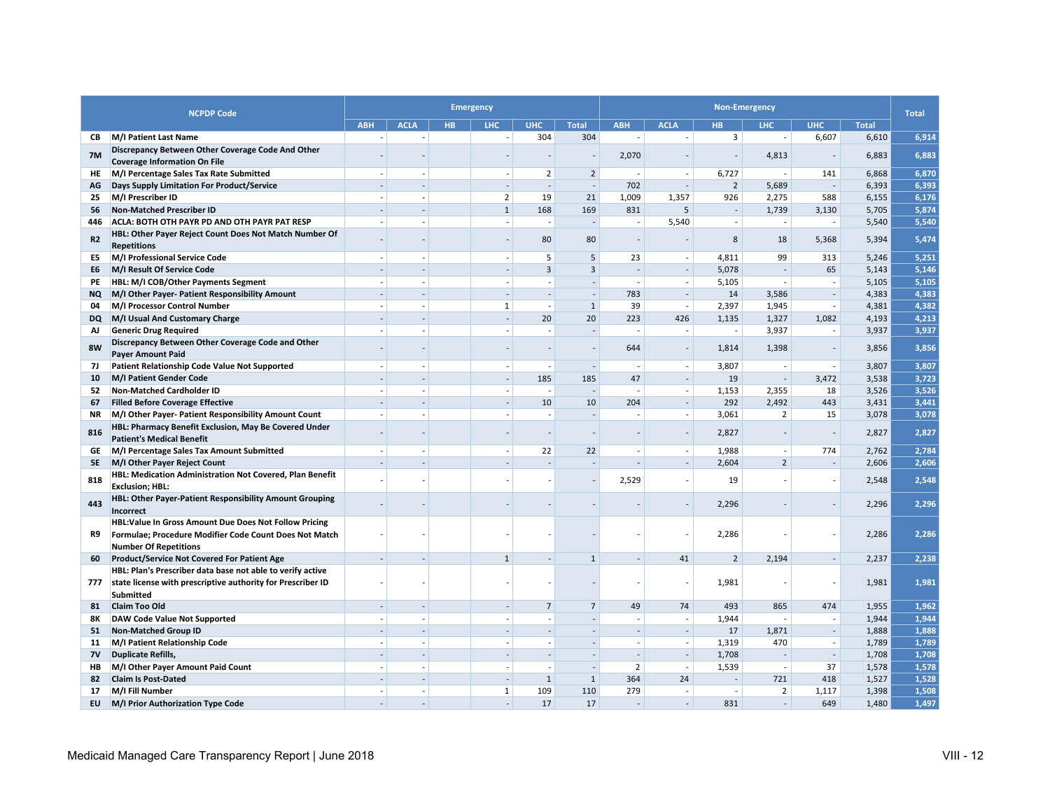|                | <b>NCPDP Code</b>                                                                                                                               |                          |                          |           | <b>Emergency</b>         |                          |                          |                          |                          |                          | <b>Non-Emergency</b>     |                          |              | <b>Total</b> |
|----------------|-------------------------------------------------------------------------------------------------------------------------------------------------|--------------------------|--------------------------|-----------|--------------------------|--------------------------|--------------------------|--------------------------|--------------------------|--------------------------|--------------------------|--------------------------|--------------|--------------|
|                |                                                                                                                                                 | <b>ABH</b>               | <b>ACLA</b>              | <b>HB</b> | <b>LHC</b>               | <b>UHC</b>               | <b>Total</b>             | <b>ABH</b>               | <b>ACLA</b>              | <b>HB</b>                | <b>LHC</b>               | <b>UHC</b>               | <b>Total</b> |              |
| CВ             | M/I Patient Last Name                                                                                                                           |                          |                          |           |                          | 304                      | 304                      |                          |                          | 3                        | $\overline{\phantom{a}}$ | 6,607                    | 6,610        | 6,914        |
| 7M             | Discrepancy Between Other Coverage Code And Other<br><b>Coverage Information On File</b>                                                        |                          |                          |           |                          |                          |                          | 2,070                    |                          |                          | 4,813                    |                          | 6,883        | 6,883        |
| HE             | M/I Percentage Sales Tax Rate Submitted                                                                                                         | $\overline{\phantom{a}}$ | ÷,                       |           | $\overline{\phantom{a}}$ | $\overline{2}$           | $\overline{2}$           | $\overline{\phantom{a}}$ | $\sim$                   | 6,727                    | $\overline{\phantom{a}}$ | 141                      | 6,868        | 6,870        |
| AG             | Days Supply Limitation For Product/Service                                                                                                      |                          | $\overline{a}$           |           |                          | $\overline{\phantom{a}}$ | $\overline{\phantom{a}}$ | 702                      | $\sim$                   | $\overline{2}$           | 5,689                    | $\sim$                   | 6,393        | 6,393        |
| 25             | M/I Prescriber ID                                                                                                                               |                          | J.                       |           | $\overline{2}$           | 19                       | 21                       | 1,009                    | 1,357                    | 926                      | 2,275                    | 588                      | 6,155        | 6,176        |
| 56             | <b>Non-Matched Prescriber ID</b>                                                                                                                |                          | $\overline{\phantom{a}}$ |           | $\mathbf{1}$             | 168                      | 169                      | 831                      | 5                        | $\mathbb{L}$             | 1,739                    | 3,130                    | 5,705        | 5,874        |
| 446            | ACLA: BOTH OTH PAYR PD AND OTH PAYR PAT RESP                                                                                                    |                          |                          |           |                          | ÷.                       | $\overline{\phantom{a}}$ | ÷                        | 5,540                    | $\overline{a}$           |                          |                          | 5,540        | 5,540        |
| R <sub>2</sub> | HBL: Other Payer Reject Count Does Not Match Number Of<br><b>Repetitions</b>                                                                    |                          |                          |           |                          | 80                       | 80                       | $\sim$                   |                          | 8                        | 18                       | 5,368                    | 5,394        | 5,474        |
| E5             | M/I Professional Service Code                                                                                                                   |                          |                          |           |                          | 5                        | 5                        | 23                       | $\sim$                   | 4,811                    | 99                       | 313                      | 5,246        | 5,251        |
| E6             | M/I Result Of Service Code                                                                                                                      | $\overline{a}$           | $\overline{a}$           |           | $\overline{a}$           | $\overline{3}$           | 3                        | $\sim$                   | $\sim$                   | 5,078                    | $\sim$                   | 65                       | 5,143        | 5,146        |
| PE             | HBL: M/I COB/Other Payments Segment                                                                                                             |                          | ÷,                       |           |                          | ÷,                       | $\sim$                   | $\overline{\phantom{a}}$ | $\overline{\phantom{a}}$ | 5,105                    | $\overline{\phantom{a}}$ | $\overline{a}$           | 5,105        | 5,105        |
| NQ.            | M/I Other Payer- Patient Responsibility Amount                                                                                                  |                          | $\overline{a}$           |           | $\overline{a}$           | $\overline{\phantom{a}}$ | $\sim$                   | 783                      | $\sim$                   | 14                       | 3,586                    | $\overline{a}$           | 4,383        | 4,383        |
| 04             | M/I Processor Control Number                                                                                                                    |                          | $\overline{\phantom{a}}$ |           | $\mathbf{1}$             | ÷.                       | $\mathbf{1}$             | 39                       | $\sim$                   | 2,397                    | 1,945                    | $\overline{\phantom{a}}$ | 4,381        | 4,382        |
| <b>DQ</b>      | M/I Usual And Customary Charge                                                                                                                  |                          |                          |           |                          | 20                       | 20                       | 223                      | 426                      | 1,135                    | 1,327                    | 1,082                    | 4,193        | 4,213        |
| AJ             | <b>Generic Drug Required</b>                                                                                                                    |                          |                          |           |                          |                          |                          |                          |                          |                          | 3,937                    |                          | 3,937        | 3,937        |
| 8W             | Discrepancy Between Other Coverage Code and Other<br>Payer Amount Paid                                                                          |                          |                          |           |                          |                          |                          | 644                      |                          | 1,814                    | 1,398                    |                          | 3,856        | 3,856        |
| 71             | Patient Relationship Code Value Not Supported                                                                                                   |                          | J.                       |           |                          |                          | $\sim$                   | $\sim$                   | $\sim$                   | 3,807                    | $\overline{a}$           | $\overline{\phantom{a}}$ | 3,807        | 3,807        |
| 10             | M/I Patient Gender Code                                                                                                                         | $\overline{\phantom{a}}$ | $\overline{\phantom{a}}$ |           | $\sim$                   | 185                      | 185                      | 47                       | $\sim$                   | 19                       | $\sim$                   | 3,472                    | 3,538        | 3,723        |
| 52             | <b>Non-Matched Cardholder ID</b>                                                                                                                | i.                       | ÷.                       |           | ÷.                       | ÷.                       | $\sim$                   | ÷                        | $\sim$                   | 1,153                    | 2,355                    | 18                       | 3,526        | 3,526        |
| 67             | <b>Filled Before Coverage Effective</b>                                                                                                         |                          |                          |           |                          | 10                       | 10                       | 204                      | $\sim$                   | 292                      | 2,492                    | 443                      | 3,431        | 3,441        |
| NR             | M/I Other Payer- Patient Responsibility Amount Count                                                                                            | $\sim$                   | ÷,                       |           |                          | ÷.                       | $\overline{\phantom{a}}$ | $\overline{\phantom{a}}$ | $\overline{\phantom{a}}$ | 3,061                    | $\overline{2}$           | 15                       | 3,078        | 3,078        |
| 816            | HBL: Pharmacy Benefit Exclusion, May Be Covered Under<br><b>Patient's Medical Benefit</b>                                                       |                          |                          |           |                          |                          |                          | $\overline{\phantom{a}}$ |                          | 2,827                    |                          |                          | 2,827        | 2,827        |
| GE             | M/I Percentage Sales Tax Amount Submitted                                                                                                       |                          |                          |           |                          | 22                       | 22                       |                          | $\overline{\phantom{a}}$ | 1,988                    |                          | 774                      | 2,762        | 2,784        |
| <b>5E</b>      | M/I Other Payer Reject Count                                                                                                                    |                          |                          |           |                          |                          | $\overline{\phantom{a}}$ |                          | $\mathcal{L}$            | 2,604                    | $\overline{2}$           | $\sim$                   | 2,606        | 2,606        |
| 818            | HBL: Medication Administration Not Covered, Plan Benefit<br><b>Exclusion</b> ; HBL:                                                             |                          |                          |           |                          |                          |                          | 2,529                    |                          | 19                       |                          |                          | 2,548        | 2,548        |
| 443            | HBL: Other Payer-Patient Responsibility Amount Grouping<br>Incorrect                                                                            |                          |                          |           |                          |                          |                          |                          |                          | 2,296                    |                          |                          | 2,296        | 2,296        |
| R9             | HBL:Value In Gross Amount Due Does Not Follow Pricing<br>Formulae; Procedure Modifier Code Count Does Not Match<br><b>Number Of Repetitions</b> |                          |                          |           |                          |                          |                          |                          |                          | 2,286                    |                          |                          | 2,286        | 2,286        |
| 60             | Product/Service Not Covered For Patient Age                                                                                                     |                          |                          |           | $\mathbf{1}$             |                          | $\mathbf{1}$             |                          | 41                       | $\overline{2}$           | 2,194                    |                          | 2,237        | 2,238        |
|                | HBL: Plan's Prescriber data base not able to verify active                                                                                      |                          |                          |           |                          |                          |                          |                          |                          |                          |                          |                          |              |              |
| 777            | state license with prescriptive authority for Prescriber ID<br><b>Submitted</b>                                                                 |                          |                          |           |                          |                          |                          |                          |                          | 1,981                    |                          |                          | 1,981        | 1,981        |
| 81             | <b>Claim Too Old</b>                                                                                                                            |                          |                          |           |                          | $\overline{7}$           | $\overline{7}$           | 49                       | 74                       | 493                      | 865                      | 474                      | 1,955        | 1,962        |
| 8Κ             | <b>DAW Code Value Not Supported</b>                                                                                                             |                          | $\overline{\phantom{a}}$ |           |                          | J.                       | $\overline{\phantom{a}}$ | $\overline{\phantom{a}}$ | $\overline{a}$           | 1,944                    | $\overline{a}$           | $\overline{\phantom{a}}$ | 1,944        | 1,944        |
| 51             | <b>Non-Matched Group ID</b>                                                                                                                     |                          |                          |           |                          | $\sim$                   | $\overline{\phantom{a}}$ | $\sim$                   | $\sim$                   | 17                       | 1,871                    | $\overline{\phantom{a}}$ | 1,888        | 1,888        |
| 11             | M/I Patient Relationship Code                                                                                                                   |                          |                          |           |                          | $\overline{a}$           | $\overline{\phantom{a}}$ | $\overline{\phantom{a}}$ | $\overline{\phantom{a}}$ | 1,319                    | 470                      | $\overline{\phantom{a}}$ | 1,789        | 1,789        |
| <b>7V</b>      | <b>Duplicate Refills,</b>                                                                                                                       |                          |                          |           |                          |                          | $\overline{\phantom{a}}$ | $\overline{\phantom{a}}$ | $\mathbb{Z}^+$           | 1,708                    | $\sim$                   | $\overline{\phantom{a}}$ | 1,708        | 1,708        |
| HB.            | M/I Other Payer Amount Paid Count                                                                                                               |                          | J.                       |           |                          | $\overline{a}$           | $\overline{\phantom{a}}$ | $\overline{2}$           | $\sim$                   | 1,539                    | $\overline{a}$           | 37                       | 1,578        | 1,578        |
| 82             | <b>Claim Is Post-Dated</b>                                                                                                                      |                          |                          |           |                          | 1                        | $\mathbf{1}$             | 364                      | 24                       |                          | 721                      | 418                      | 1,527        | 1,528        |
| 17             | M/I Fill Number                                                                                                                                 | $\overline{\phantom{a}}$ | $\overline{a}$           |           | $\mathbf 1$              | 109                      | 110                      | 279                      | $\sim$                   | $\overline{\phantom{a}}$ | $\overline{2}$           | 1,117                    | 1,398        | 1,508        |
| <b>EU</b>      | M/I Prior Authorization Type Code                                                                                                               |                          |                          |           |                          | 17                       | 17                       | $\overline{\phantom{a}}$ |                          | 831                      |                          | 649                      | 1.480        | 1.497        |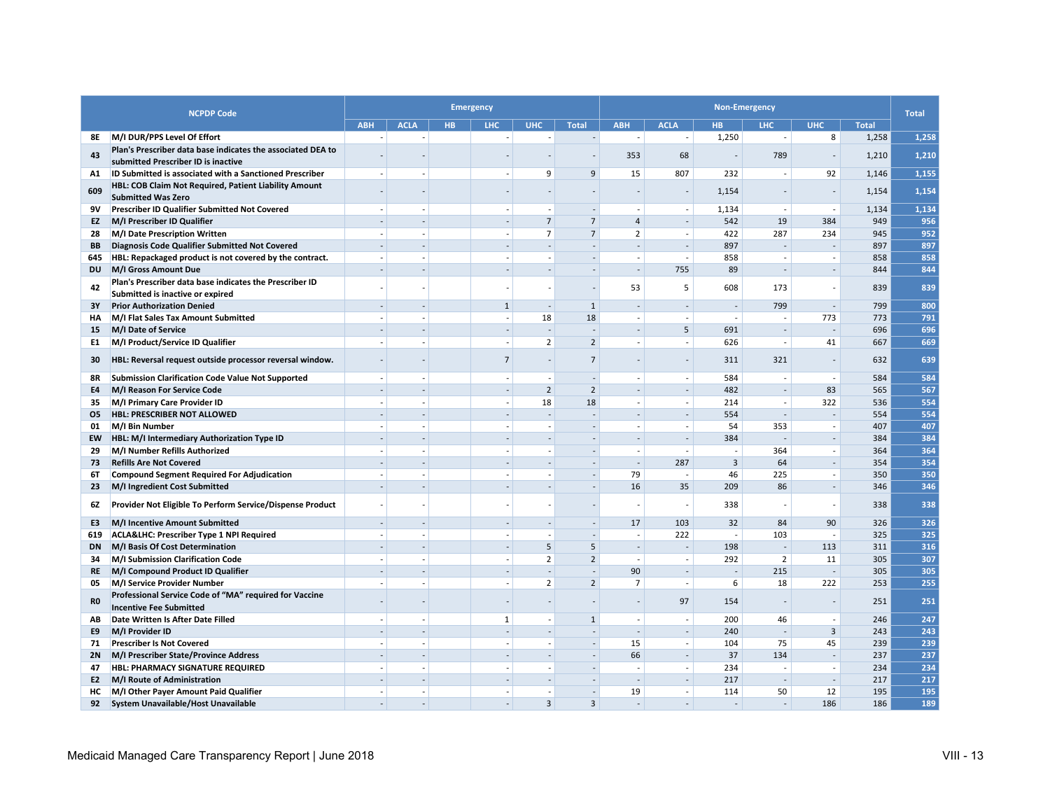|                | <b>NCPDP Code</b>                                                                                  | <b>Emergency</b>         |                          |           |                          |                          |                          | <b>Non-Emergency</b>     |                             |                          |                          |                          |              |              |
|----------------|----------------------------------------------------------------------------------------------------|--------------------------|--------------------------|-----------|--------------------------|--------------------------|--------------------------|--------------------------|-----------------------------|--------------------------|--------------------------|--------------------------|--------------|--------------|
|                |                                                                                                    | <b>ABH</b>               | <b>ACLA</b>              | <b>HB</b> | LHC                      | <b>UHC</b>               | <b>Total</b>             | <b>ABH</b>               | <b>ACLA</b>                 | HB.                      | LHC                      | <b>UHC</b>               | <b>Total</b> | <b>Total</b> |
| 8E             | M/I DUR/PPS Level Of Effort                                                                        |                          |                          |           |                          |                          | $\overline{\phantom{a}}$ | $\overline{\phantom{a}}$ | $\sim$                      | 1,250                    | $\overline{a}$           | 8                        | 1,258        | 1,258        |
| 43             | Plan's Prescriber data base indicates the associated DEA to<br>submitted Prescriber ID is inactive |                          |                          |           |                          |                          |                          | 353                      | 68                          |                          | 789                      |                          | 1,210        | 1,210        |
| A1             | ID Submitted is associated with a Sanctioned Prescriber                                            |                          |                          |           |                          | 9                        | 9                        | 15                       | 807                         | 232                      |                          | 92                       | 1,146        | 1,155        |
|                | HBL: COB Claim Not Required, Patient Liability Amount                                              |                          |                          |           |                          |                          |                          |                          |                             |                          |                          |                          |              |              |
| 609            | <b>Submitted Was Zero</b>                                                                          |                          |                          |           |                          |                          |                          |                          |                             | 1,154                    |                          |                          | 1,154        | 1,154        |
| 9V             | Prescriber ID Qualifier Submitted Not Covered                                                      |                          |                          |           |                          |                          | $\overline{\phantom{a}}$ | $\overline{\phantom{a}}$ | $\sim$                      | 1,134                    | $\overline{\phantom{a}}$ | $\overline{\phantom{a}}$ | 1,134        | 1,134        |
| EZ             | M/I Prescriber ID Qualifier                                                                        | $\overline{a}$           | $\overline{\phantom{a}}$ |           |                          | $\overline{7}$           | $\overline{7}$           | $\overline{4}$           | $\sim$                      | 542                      | 19                       | 384                      | 949          | 956          |
| 28             | M/I Date Prescription Written                                                                      | $\sim$                   | $\overline{\phantom{a}}$ |           | $\overline{\phantom{a}}$ | $\overline{7}$           | $\overline{7}$           | $\overline{2}$           | $\sim$                      | 422                      | 287                      | 234                      | 945          | 952          |
| BB             | Diagnosis Code Qualifier Submitted Not Covered                                                     |                          | $\overline{a}$           |           | $\overline{a}$           | L,                       | $\overline{\phantom{a}}$ | $\overline{\phantom{a}}$ | $\mathbf{r}$                | 897                      | $\sim$                   | $\overline{\phantom{a}}$ | 897          | 897          |
| 645            | HBL: Repackaged product is not covered by the contract.                                            |                          |                          |           |                          |                          | $\overline{\phantom{a}}$ | $\overline{\phantom{a}}$ | $\overline{a}$              | 858                      | $\overline{\phantom{a}}$ | $\overline{\phantom{a}}$ | 858          | 858          |
| <b>DU</b>      | M/I Gross Amount Due                                                                               |                          | $\overline{\phantom{a}}$ |           |                          | $\overline{\phantom{a}}$ | $\overline{\phantom{a}}$ | $\sim$                   | 755                         | 89                       | $\overline{a}$           | $\sim$                   | 844          | 844          |
| 42             | Plan's Prescriber data base indicates the Prescriber ID<br>Submitted is inactive or expired        |                          |                          |           |                          |                          |                          | 53                       | 5                           | 608                      | 173                      |                          | 839          | 839          |
| 3Y             | <b>Prior Authorization Denied</b>                                                                  |                          |                          |           | $\mathbf{1}$             | $\sim$                   | $\mathbf{1}$             |                          |                             | $\sim$                   | 799                      | $\overline{\phantom{a}}$ | 799          | 800          |
| HA             |                                                                                                    |                          |                          |           | $\overline{a}$           | 18                       | 18                       |                          | $\sim$                      | $\overline{\phantom{a}}$ |                          | 773                      | 773          | 791          |
|                | M/I Flat Sales Tax Amount Submitted                                                                |                          | $\overline{a}$           |           |                          | $\overline{\phantom{a}}$ | $\overline{a}$           | $\sim$                   | 5                           | 691                      | $\sim$                   | $\overline{\phantom{a}}$ | 696          | 696          |
| 15             | M/I Date of Service                                                                                | $\sim$                   |                          |           | $\sim$                   |                          |                          |                          |                             |                          |                          |                          |              |              |
| E1             | M/I Product/Service ID Qualifier                                                                   |                          | $\overline{\phantom{a}}$ |           |                          | $\overline{2}$           | $\overline{2}$           | $\overline{\phantom{a}}$ | $\sim$                      | 626                      | $\overline{a}$           | 41                       | 667          | 669          |
| 30             | HBL: Reversal request outside processor reversal window.                                           |                          |                          |           | $\overline{7}$           |                          | $\overline{7}$           | $\overline{\phantom{a}}$ |                             | 311                      | 321                      |                          | 632          | 639          |
| 8R             | <b>Submission Clarification Code Value Not Supported</b>                                           | $\sim$                   | $\overline{\phantom{a}}$ |           | $\sim$                   | ÷,                       | $\overline{\phantom{a}}$ | $\sim$                   | $\sim$                      | 584                      | $\sim$                   | $\overline{\phantom{a}}$ | 584          | 584          |
| E4             | M/I Reason For Service Code                                                                        |                          | $\overline{a}$           |           |                          | $\overline{2}$           | $\overline{2}$           | $\sim$                   | $\overline{\phantom{a}}$    | 482                      | $\sim$                   | 83                       | 565          | 567          |
| 35             | M/I Primary Care Provider ID                                                                       | $\sim$                   | ÷                        |           | $\overline{a}$           | 18                       | 18                       | $\overline{\phantom{a}}$ | $\sim$                      | 214                      | $\sim$                   | 322                      | 536          | 554          |
|                | <b>05 HBL: PRESCRIBER NOT ALLOWED</b>                                                              |                          |                          |           |                          | $\overline{\phantom{a}}$ | $\overline{\phantom{a}}$ | $\overline{\phantom{a}}$ | $\sim$                      | 554                      | $\sim$                   | $\sim$                   | 554          | 554          |
| 01             | M/I Bin Number                                                                                     |                          | L,                       |           | $\overline{a}$           | J.                       | $\sim$                   | $\overline{a}$           | $\sim$                      | 54                       | 353                      | $\overline{\phantom{a}}$ | 407          | 407          |
| <b>EW</b>      | HBL: M/I Intermediary Authorization Type ID                                                        |                          | $\overline{\phantom{a}}$ |           |                          | $\overline{\phantom{a}}$ | $\sim$                   | $\sim$                   | $\sim$                      | 384                      | L,                       | $\overline{\phantom{a}}$ | 384          | 384          |
| 29             | M/I Number Refills Authorized                                                                      |                          |                          |           | $\overline{a}$           |                          | $\overline{\phantom{a}}$ | $\overline{a}$           | $\sim$                      |                          | 364                      | $\overline{a}$           | 364          | 364          |
| 73             | <b>Refills Are Not Covered</b>                                                                     | $\sim$                   | $\overline{a}$           |           | $\overline{a}$           | $\overline{a}$           | $\sim$                   | $\sim$                   | 287                         | $\overline{3}$           | 64                       | $\overline{a}$           | 354          | 354          |
| 6T             | <b>Compound Segment Required For Adjudication</b>                                                  | $\overline{\phantom{a}}$ | $\overline{a}$           |           | $\overline{\phantom{a}}$ |                          | $\overline{\phantom{a}}$ | 79                       | $\overline{\phantom{a}}$    | 46                       | 225                      | $\overline{a}$           | 350          | 350          |
| 23             | M/I Ingredient Cost Submitted                                                                      | $\sim$                   | $\overline{\phantom{a}}$ |           |                          | $\overline{a}$           | $\sim$                   | 16                       | 35                          | 209                      | 86                       | $\overline{a}$           | 346          | 346          |
| 6Z             | Provider Not Eligible To Perform Service/Dispense Product                                          |                          |                          |           |                          |                          |                          |                          |                             | 338                      |                          |                          | 338          | 338          |
| E3             | M/I Incentive Amount Submitted                                                                     |                          |                          |           |                          |                          | $\overline{\phantom{a}}$ | 17                       | 103                         | 32                       | 84                       | 90                       | 326          | 326          |
| 619            | ACLA&LHC: Prescriber Type 1 NPI Required                                                           |                          |                          |           |                          | J.                       | $\overline{\phantom{a}}$ | $\overline{\phantom{a}}$ | 222                         | $\overline{a}$           | 103                      |                          | 325          | 325          |
| <b>DN</b>      | M/I Basis Of Cost Determination                                                                    |                          |                          |           |                          | 5                        | 5                        | $\overline{\phantom{a}}$ |                             | 198                      |                          | 113                      | 311          | 316          |
| 34             | M/I Submission Clarification Code                                                                  |                          |                          |           |                          | $\overline{2}$           | $\overline{2}$           | $\sim$                   | $\mathcal{L}_{\mathcal{A}}$ | 292                      | $\overline{2}$           | 11                       | 305          | 307          |
| <b>RE</b>      | M/I Compound Product ID Qualifier                                                                  |                          |                          |           |                          | $\overline{\phantom{a}}$ | $\overline{\phantom{a}}$ | 90                       |                             | $\sim$                   | 215                      | $\sim$                   | 305          | 305          |
| 05             | M/I Service Provider Number                                                                        |                          |                          |           |                          | $\overline{2}$           | $\overline{2}$           | $\overline{7}$           | $\sim$                      | 6                        | 18                       | 222                      | 253          | 255          |
|                | Professional Service Code of "MA" required for Vaccine                                             |                          |                          |           |                          |                          |                          |                          |                             |                          |                          |                          |              |              |
| R <sub>0</sub> | <b>Incentive Fee Submitted</b>                                                                     |                          |                          |           |                          |                          |                          | $\overline{\phantom{a}}$ | 97                          | 154                      |                          |                          | 251          | 251          |
| AВ             | Date Written Is After Date Filled                                                                  |                          | $\overline{\phantom{a}}$ |           | $\mathbf 1$              | ÷,                       | $\mathbf 1$              | $\overline{\phantom{a}}$ | $\sim$                      | 200                      | 46                       | $\overline{\phantom{a}}$ | 246          | 247          |
| E9             | M/I Provider ID                                                                                    |                          | $\overline{\phantom{a}}$ |           | $\overline{\phantom{a}}$ | $\sim$                   | $\overline{a}$           | $\sim$                   | $\sim$                      | 240                      | ÷.                       | 3                        | 243          | 243          |
| 71             | <b>Prescriber Is Not Covered</b>                                                                   |                          | $\overline{\phantom{a}}$ |           | $\sim$                   |                          | $\sim$                   | 15                       | $\sim$                      | 104                      | 75                       | 45                       | 239          | 239          |
| <b>2N</b>      | M/I Prescriber State/Province Address                                                              |                          |                          |           |                          | $\sim$                   | $\overline{\phantom{a}}$ | 66                       | $\sim$                      | 37                       | 134                      | $\overline{\phantom{a}}$ | 237          | 237          |
| 47             | HBL: PHARMACY SIGNATURE REQUIRED                                                                   |                          | ÷                        |           |                          |                          | $\overline{\phantom{a}}$ | $\overline{\phantom{a}}$ | $\sim$                      | 234                      | $\sim$                   | $\overline{\phantom{a}}$ | 234          | 234          |
| E2             | M/I Route of Administration                                                                        |                          |                          |           |                          |                          | $\overline{\phantom{a}}$ | $\overline{\phantom{a}}$ | $\mathcal{L}$               | 217                      | ÷.                       | $\overline{\phantom{a}}$ | 217          | 217          |
| нc             | M/I Other Payer Amount Paid Qualifier                                                              |                          |                          |           | $\sim$                   |                          | $\sim$                   | 19                       | $\sim$                      | 114                      | 50                       | 12                       | 195          | 195          |
| 92             | System Unavailable/Host Unavailable                                                                |                          |                          |           |                          | $\overline{\mathbf{3}}$  | $\overline{3}$           |                          |                             |                          |                          | 186                      | 186          | 189          |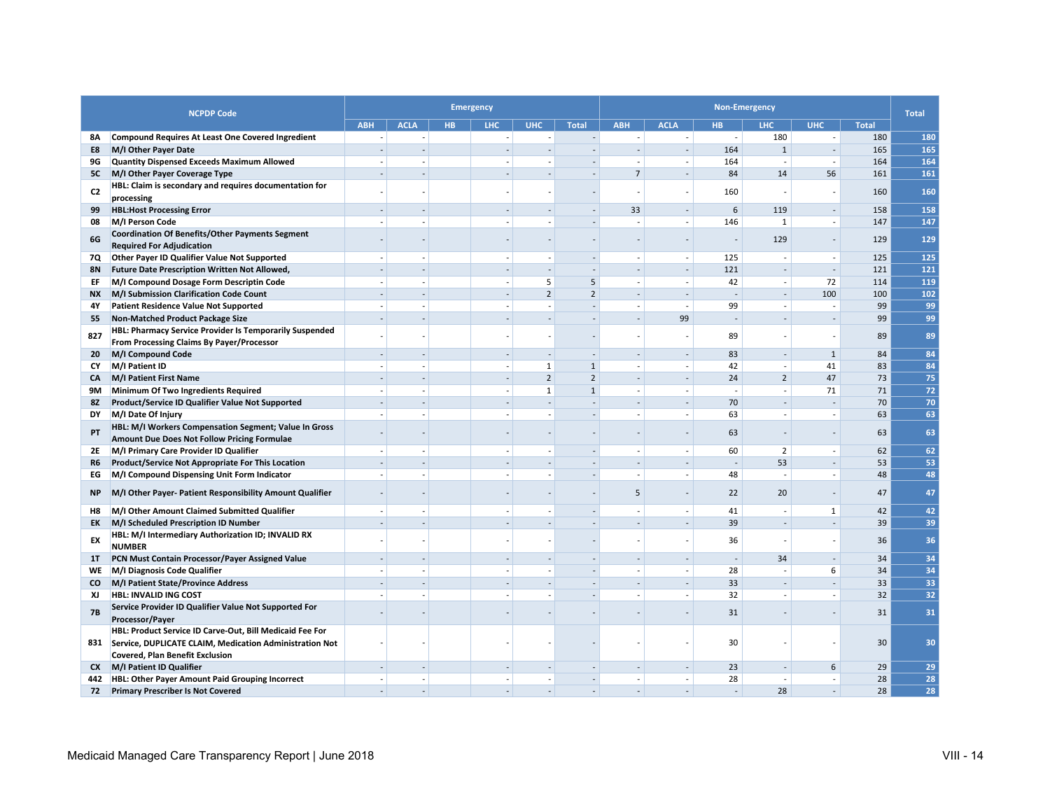|                | <b>NCPDP Code</b>                                                                                                   |                |                |     | <b>Emergency</b> |                |                | <b>Non-Emergency</b>     |             |                          |                |                          |              |      |
|----------------|---------------------------------------------------------------------------------------------------------------------|----------------|----------------|-----|------------------|----------------|----------------|--------------------------|-------------|--------------------------|----------------|--------------------------|--------------|------|
|                |                                                                                                                     | <b>ABH</b>     | <b>ACLA</b>    | HB. | <b>LHC</b>       | <b>UHC</b>     | <b>Total</b>   | <b>ABH</b>               | <b>ACLA</b> | HB.                      | LHC            | <b>UHC</b>               | <b>Total</b> |      |
| 8Α             | <b>Compound Requires At Least One Covered Ingredient</b>                                                            |                |                |     |                  |                |                |                          |             | $\overline{a}$           | 180            |                          | 180          | 180  |
| E8             | M/I Other Payer Date                                                                                                |                |                |     |                  |                |                |                          |             | 164                      | $\overline{1}$ |                          | 165          | 165  |
| 9G             | <b>Quantity Dispensed Exceeds Maximum Allowed</b>                                                                   |                |                |     |                  |                |                | $\overline{\phantom{a}}$ | $\sim$      | 164                      |                |                          | 164          | 164  |
| 5C             | M/I Other Payer Coverage Type                                                                                       |                |                |     |                  |                |                | $\overline{7}$           |             | 84                       | 14             | 56                       | 161          | 161  |
| C <sub>2</sub> | HBL: Claim is secondary and requires documentation for<br>processing                                                |                |                |     |                  |                |                |                          |             | 160                      |                |                          | 160          | 160  |
| 99             | <b>HBL:Host Processing Error</b>                                                                                    |                |                |     |                  |                |                | 33                       |             | 6                        | 119            |                          | 158          | 158  |
| 08             | M/I Person Code                                                                                                     |                |                |     |                  |                |                |                          | $\sim$      | 146                      | $\mathbf{1}$   |                          | 147          | 147  |
|                | <b>Coordination Of Benefits/Other Payments Segment</b>                                                              |                |                |     |                  |                |                |                          |             |                          |                |                          |              |      |
| 6G             | <b>Required For Adjudication</b>                                                                                    |                |                |     |                  |                |                |                          |             |                          | 129            |                          | 129          | 129  |
| 7Q             | Other Payer ID Qualifier Value Not Supported                                                                        |                |                |     |                  |                |                |                          |             | 125                      |                |                          | 125          | 125  |
| 8N             | Future Date Prescription Written Not Allowed,                                                                       |                |                |     |                  |                |                |                          |             | 121                      |                | $\overline{\phantom{a}}$ | 121          | 121  |
| EF             | M/I Compound Dosage Form Descriptin Code                                                                            | $\overline{a}$ |                |     | $\overline{a}$   | 5              | 5              | $\overline{\phantom{a}}$ | $\sim$      | 42                       | ÷              | 72                       | 114          | 119  |
| NX .           | M/I Submission Clarification Code Count                                                                             |                |                |     |                  | $\overline{2}$ | $\overline{2}$ |                          |             | $\overline{a}$           |                | 100                      | 100          | 102  |
| 4Y             | <b>Patient Residence Value Not Supported</b>                                                                        |                |                |     |                  |                |                |                          |             | 99                       |                |                          | 99           | 99   |
| 55             | <b>Non-Matched Product Package Size</b>                                                                             |                |                |     |                  |                |                |                          | 99          |                          |                |                          | 99           | 99   |
| 827            | HBL: Pharmacy Service Provider Is Temporarily Suspended<br>From Processing Claims By Payer/Processor                |                |                |     |                  |                |                |                          |             | 89                       |                |                          | 89           | 89   |
| 20             | M/I Compound Code                                                                                                   |                |                |     |                  |                |                |                          |             | 83                       |                | $\mathbf{1}$             | 84           | 84   |
| CY             | M/I Patient ID                                                                                                      |                |                |     |                  | $\mathbf{1}$   | $\mathbf 1$    |                          | ÷           | 42                       | ÷              | 41                       | 83           | 84   |
| <b>CA</b>      | M/I Patient First Name                                                                                              |                |                |     |                  | $\overline{2}$ | $\overline{2}$ |                          |             | 24                       | $\overline{2}$ | 47                       | 73           | 75   |
| 9M             | Minimum Of Two Ingredients Required                                                                                 |                |                |     |                  | $\mathbf{1}$   | $\mathbf{1}$   | $\overline{a}$           | $\sim$      |                          |                | 71                       | 71           | $72$ |
| <b>8Z</b>      | Product/Service ID Qualifier Value Not Supported                                                                    |                |                |     |                  |                |                |                          |             | 70                       |                |                          | 70           | 70   |
| DY             | M/I Date Of Injury                                                                                                  |                |                |     |                  |                |                |                          |             | 63                       |                |                          | 63           | 63   |
| PT             | HBL: M/I Workers Compensation Segment; Value In Gross<br>Amount Due Does Not Follow Pricing Formulae                |                |                |     |                  |                |                |                          |             | 63                       |                |                          | 63           | 63   |
| 2E             | M/I Primary Care Provider ID Qualifier                                                                              |                |                |     |                  |                |                |                          |             | 60                       | $\overline{2}$ |                          | 62           | 62   |
| R6             | Product/Service Not Appropriate For This Location                                                                   |                |                |     |                  |                |                |                          |             |                          | 53             |                          | 53           | 53   |
| EG             | M/I Compound Dispensing Unit Form Indicator                                                                         |                |                |     |                  |                |                |                          |             | 48                       | $\overline{a}$ |                          | 48           | 48   |
| <b>NP</b>      | M/I Other Payer- Patient Responsibility Amount Qualifier                                                            |                |                |     |                  |                |                | 5                        |             | 22                       | 20             |                          | 47           | 47   |
|                |                                                                                                                     |                |                |     |                  |                |                |                          |             |                          |                |                          |              |      |
| H8             | M/I Other Amount Claimed Submitted Qualifier                                                                        |                |                |     |                  |                |                |                          |             | 41                       |                | $\mathbf 1$              | 42           | 42   |
| <b>EK</b>      | M/I Scheduled Prescription ID Number                                                                                |                |                |     |                  |                |                |                          |             | 39                       |                |                          | 39           | 39   |
| EX             | HBL: M/I Intermediary Authorization ID; INVALID RX<br><b>NUMBER</b>                                                 |                |                |     |                  |                |                |                          |             | 36                       |                |                          | 36           | 36   |
| 1T             | PCN Must Contain Processor/Payer Assigned Value                                                                     |                |                |     |                  |                |                |                          |             | $\overline{\phantom{a}}$ | 34             |                          | 34           | 34   |
|                | WE M/I Diagnosis Code Qualifier                                                                                     |                |                |     |                  |                |                |                          |             | 28                       | ÷,             | 6                        | 34           | 34   |
| <b>CO</b>      | M/I Patient State/Province Address                                                                                  |                |                |     |                  |                |                |                          |             | 33                       |                |                          | 33           | 33   |
| XJ             | <b>HBL: INVALID ING COST</b>                                                                                        |                |                |     |                  |                |                |                          |             | 32                       |                |                          | 32           | 32   |
| <b>7B</b>      | Service Provider ID Qualifier Value Not Supported For<br>Processor/Payer                                            |                |                |     |                  |                |                |                          |             | 31                       |                |                          | 31           | 31   |
| 831            | HBL: Product Service ID Carve-Out, Bill Medicaid Fee For<br>Service, DUPLICATE CLAIM, Medication Administration Not |                |                |     |                  |                |                |                          |             | 30                       |                |                          | 30           | 30   |
|                | Covered, Plan Benefit Exclusion                                                                                     |                |                |     |                  |                |                |                          |             |                          |                |                          |              |      |
| <b>CX</b>      | M/I Patient ID Qualifier                                                                                            |                |                |     |                  |                |                |                          |             | 23                       | ÷.             | 6                        | 29           | 29   |
| 442            | HBL: Other Payer Amount Paid Grouping Incorrect                                                                     |                | $\overline{a}$ |     | $\overline{a}$   |                | $\overline{a}$ | $\overline{\phantom{a}}$ | $\sim$      | 28                       | $\sim$         | $\overline{\phantom{a}}$ | 28           | 28   |
| 72             | <b>Primary Prescriber Is Not Covered</b>                                                                            |                |                |     |                  |                | $\overline{a}$ |                          |             | $\overline{a}$           | 28             | $\overline{a}$           | 28           | 28   |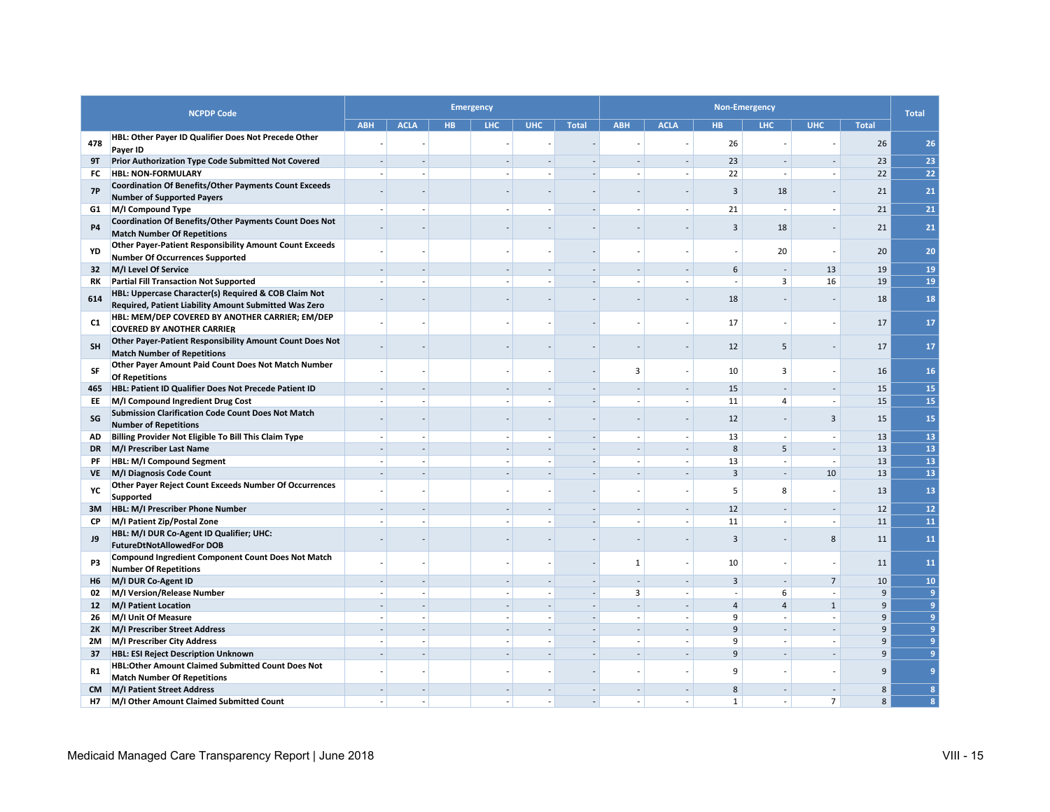|                 | <b>NCPDP Code</b>                                                                                        |                          |             |     | <b>Emergency</b> |            |                          | <b>Non-Emergency</b>     |                          |                         |                          |                          |                |                 |
|-----------------|----------------------------------------------------------------------------------------------------------|--------------------------|-------------|-----|------------------|------------|--------------------------|--------------------------|--------------------------|-------------------------|--------------------------|--------------------------|----------------|-----------------|
|                 |                                                                                                          | <b>ABH</b>               | <b>ACLA</b> | HB. | <b>LHC</b>       | <b>UHC</b> | <b>Total</b>             | <b>ABH</b>               | <b>ACLA</b>              | <b>HB</b>               | LHC                      | <b>UHC</b>               | <b>Total</b>   | <b>Total</b>    |
| 478             | HBL: Other Payer ID Qualifier Does Not Precede Other<br>Payer ID                                         |                          |             |     |                  |            |                          |                          |                          | 26                      |                          |                          | 26             | 26              |
| 9T              | Prior Authorization Type Code Submitted Not Covered                                                      |                          |             |     |                  |            | $\overline{a}$           | $\overline{\phantom{a}}$ | $\overline{\phantom{a}}$ | 23                      | $\sim$                   | $\overline{a}$           | 23             | 23              |
| FC              | <b>HBL: NON-FORMULARY</b>                                                                                |                          |             |     |                  |            | $\overline{a}$           | $\overline{\phantom{a}}$ | $\sim$                   | 22                      | $\sim$                   |                          | 22             | 22              |
| <b>7P</b>       | <b>Coordination Of Benefits/Other Payments Count Exceeds</b><br><b>Number of Supported Payers</b>        |                          |             |     |                  |            |                          |                          |                          | $\overline{3}$          | 18                       |                          | 21             | 21              |
| G1              | M/I Compound Type                                                                                        |                          |             |     |                  |            |                          |                          |                          | 21                      |                          | $\overline{\phantom{a}}$ | 21             | 21              |
| <b>P4</b>       | Coordination Of Benefits/Other Payments Count Does Not<br><b>Match Number Of Repetitions</b>             |                          |             |     |                  |            |                          |                          |                          | $\overline{3}$          | 18                       |                          | 21             | 21              |
| YD              | <b>Other Payer-Patient Responsibility Amount Count Exceeds</b><br><b>Number Of Occurrences Supported</b> |                          |             |     |                  |            |                          |                          |                          |                         | 20                       |                          | 20             | 20              |
| 32 <sub>2</sub> | M/I Level Of Service                                                                                     |                          |             |     |                  |            |                          |                          |                          | 6                       |                          | 13                       | 19             | 19              |
| RK              | <b>Partial Fill Transaction Not Supported</b>                                                            |                          |             |     |                  |            | $\overline{\phantom{a}}$ | $\overline{\phantom{a}}$ |                          |                         | 3                        | 16                       | 19             | 19              |
|                 | HBL: Uppercase Character(s) Required & COB Claim Not                                                     |                          |             |     |                  |            |                          |                          |                          | 18                      |                          |                          | 18             |                 |
| 614             | Required, Patient Liability Amount Submitted Was Zero<br>HBL: MEM/DEP COVERED BY ANOTHER CARRIER; EM/DEP |                          |             |     |                  |            |                          |                          |                          | 17                      |                          |                          | 17             | 18              |
| C1              | <b>COVERED BY ANOTHER CARRIER</b><br>Other Payer-Patient Responsibility Amount Count Does Not            |                          |             |     |                  |            |                          |                          |                          |                         |                          |                          |                | 17              |
| <b>SH</b>       | <b>Match Number of Repetitions</b><br>Other Payer Amount Paid Count Does Not Match Number                |                          |             |     |                  |            |                          |                          |                          | 12                      | 5                        |                          | 17             | 17              |
| SF              | <b>Of Repetitions</b>                                                                                    |                          |             |     |                  |            | $\overline{a}$           | 3                        |                          | 10                      | 3                        | $\sim$                   | 16             | 16<br>15        |
| 465             | HBL: Patient ID Qualifier Does Not Precede Patient ID                                                    |                          |             |     |                  |            |                          |                          |                          | 15                      |                          |                          | 15             |                 |
| EE              | M/I Compound Ingredient Drug Cost                                                                        |                          |             |     |                  |            | $\overline{a}$           |                          |                          | 11                      | 4                        | $\overline{\phantom{a}}$ | 15             | 15              |
| SG              | <b>Submission Clarification Code Count Does Not Match</b><br><b>Number of Repetitions</b>                |                          |             |     |                  |            |                          |                          |                          | 12                      |                          | 3                        | 15             | 15              |
| AD              | Billing Provider Not Eligible To Bill This Claim Type                                                    |                          |             |     |                  |            | $\overline{\phantom{a}}$ | $\overline{a}$           | $\sim$                   | 13                      | $\overline{\phantom{a}}$ | $\overline{a}$           | 13             | 13              |
| <b>DR</b>       | M/I Prescriber Last Name                                                                                 | $\sim$                   |             |     | $\overline{a}$   |            | $\overline{\phantom{a}}$ | $\sim$                   | ÷.                       | 8                       | 5                        | $\sim$                   | 13             | 13              |
| PF              | <b>HBL: M/I Compound Segment</b>                                                                         | $\overline{\phantom{a}}$ |             |     |                  |            | $\overline{\phantom{a}}$ | $\overline{a}$           | $\sim$                   | 13                      | $\overline{\phantom{a}}$ |                          | 13             | 13              |
| VE<br>YC        | M/I Diagnosis Code Count<br>Other Payer Reject Count Exceeds Number Of Occurrences                       | $\overline{a}$           |             |     |                  |            | $\overline{\phantom{a}}$ | $\overline{\phantom{a}}$ |                          | $\overline{3}$<br>5     | $\overline{a}$<br>8      | 10                       | 13<br>13       | 13<br>13        |
|                 | Supported                                                                                                |                          |             |     |                  |            |                          |                          |                          |                         |                          |                          |                |                 |
| 3M              | <b>HBL: M/I Prescriber Phone Number</b>                                                                  |                          |             |     |                  |            |                          |                          |                          | 12                      |                          |                          | 12             | 12              |
| <b>CP</b>       | M/I Patient Zip/Postal Zone                                                                              |                          |             |     |                  |            |                          |                          |                          | 11                      |                          | ÷,                       | 11             | 11              |
| J9              | HBL: M/I DUR Co-Agent ID Qualifier; UHC:<br><b>FutureDtNotAllowedFor DOB</b>                             |                          |             |     |                  |            |                          |                          |                          | 3                       |                          | 8                        | 11             | 11              |
| P3              | <b>Compound Ingredient Component Count Does Not Match</b><br><b>Number Of Repetitions</b>                |                          |             |     |                  |            |                          | $\mathbf{1}$             |                          | 10                      |                          |                          | 11             | 11              |
| H6              | M/I DUR Co-Agent ID                                                                                      |                          |             |     |                  |            | $\overline{a}$           |                          |                          | $\overline{\mathbf{3}}$ |                          | $\overline{7}$           | 10             | 10 <sub>1</sub> |
| 02              | M/I Version/Release Number                                                                               |                          |             |     |                  |            | $\overline{\phantom{a}}$ | 3                        | $\sim$                   | $\sim$                  | 6                        | $\overline{a}$           | 9              | $\overline{9}$  |
| 12              | M/I Patient Location                                                                                     |                          |             |     |                  |            | $\overline{a}$           |                          |                          | $\overline{\mathbf{A}}$ | $\Delta$                 | $\mathbf{1}$             | $\overline{9}$ | 9 <sup>°</sup>  |
| 26              | M/I Unit Of Measure                                                                                      | $\overline{a}$           |             |     |                  |            | $\overline{a}$           | $\overline{\phantom{a}}$ | $\sim$                   | 9                       |                          |                          | 9              | 9 <sup>°</sup>  |
| <b>2K</b>       | M/I Prescriber Street Address                                                                            |                          |             |     |                  |            | $\overline{a}$           |                          |                          | 9                       |                          |                          | 9              | 9 <sup>°</sup>  |
| 2M              | M/I Prescriber City Address                                                                              | $\overline{a}$           |             |     |                  |            | $\overline{a}$           | $\overline{a}$           | $\sim$                   | 9                       | $\overline{a}$           |                          | 9              | 9 <sup>°</sup>  |
| 37              | <b>HBL: ESI Reject Description Unknown</b>                                                               | $\overline{a}$           |             |     |                  |            | $\overline{\phantom{a}}$ |                          |                          | 9                       |                          |                          | 9              | 9 <sup>°</sup>  |
| R1              | HBL:Other Amount Claimed Submitted Count Does Not<br><b>Match Number Of Repetitions</b>                  |                          |             |     |                  |            |                          |                          |                          | 9                       |                          |                          | 9              | 9 <sup>°</sup>  |
| <b>CM</b>       | M/I Patient Street Address                                                                               |                          |             |     |                  |            |                          |                          |                          | 8                       | $\sim$                   | $\sim$                   | 8              | 8 <sup>°</sup>  |
| <b>H7</b>       | M/I Other Amount Claimed Submitted Count                                                                 |                          |             |     |                  |            |                          |                          |                          | $\mathbf{1}$            | $\overline{\phantom{a}}$ | $\overline{7}$           | 8              | 8               |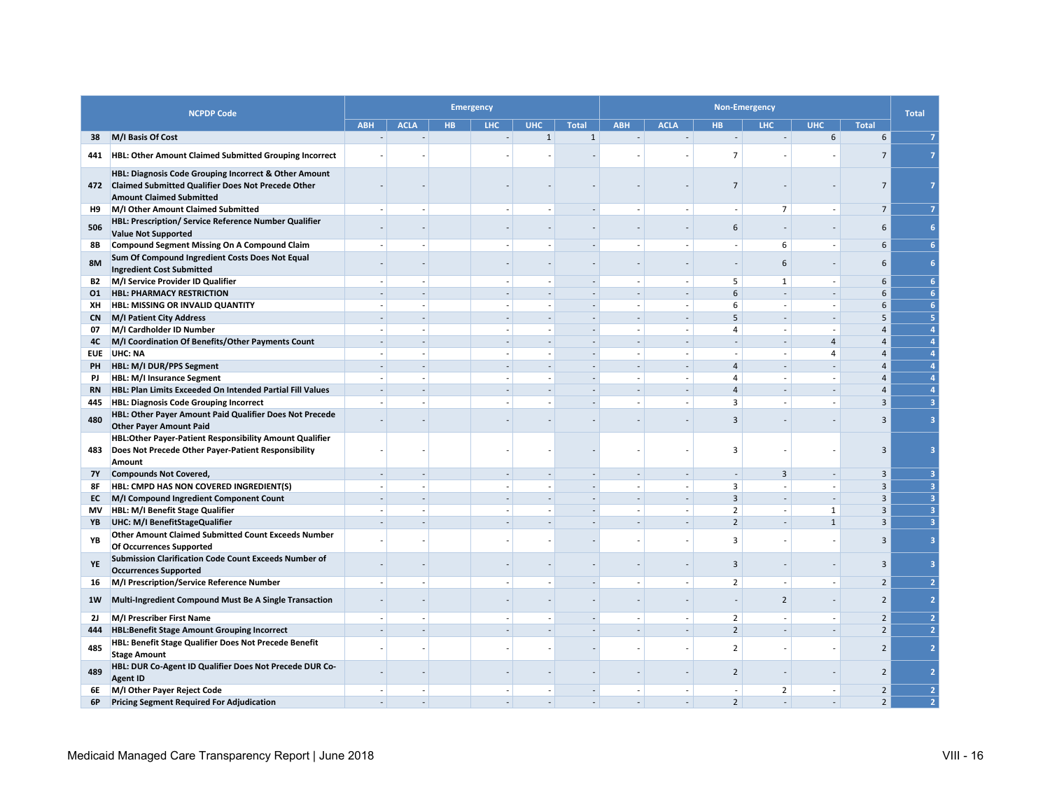|           | <b>NCPDP Code</b>                                                                                                                                  |                          |                |     | <b>Emergency</b> |              |                          | <b>Non-Emergency</b>     |                          |                |                          |                |                |                         |
|-----------|----------------------------------------------------------------------------------------------------------------------------------------------------|--------------------------|----------------|-----|------------------|--------------|--------------------------|--------------------------|--------------------------|----------------|--------------------------|----------------|----------------|-------------------------|
|           |                                                                                                                                                    | <b>ABH</b>               | <b>ACLA</b>    | HB. | <b>LHC</b>       | <b>UHC</b>   | <b>Total</b>             | <b>ABH</b>               | <b>ACLA</b>              | HB.            | <b>LHC</b>               | <b>UHC</b>     | <b>Total</b>   | <b>Total</b>            |
| 38        | M/I Basis Of Cost                                                                                                                                  |                          |                |     |                  | $\mathbf{1}$ | $\mathbf{1}$             |                          |                          |                |                          | 6              | 6              | $\overline{7}$          |
| 441       | HBL: Other Amount Claimed Submitted Grouping Incorrect                                                                                             |                          |                |     |                  |              |                          |                          |                          | $\overline{7}$ |                          |                | $\overline{7}$ | $\overline{7}$          |
|           | HBL: Diagnosis Code Grouping Incorrect & Other Amount<br>472 Claimed Submitted Qualifier Does Not Precede Other<br><b>Amount Claimed Submitted</b> |                          |                |     |                  |              |                          |                          |                          | $\overline{7}$ |                          |                | $\overline{7}$ |                         |
| <b>H9</b> | M/I Other Amount Claimed Submitted                                                                                                                 |                          |                |     |                  |              |                          |                          |                          |                | $\overline{7}$           |                | $\overline{7}$ | $\overline{7}$          |
| 506       | HBL: Prescription/ Service Reference Number Qualifier<br><b>Value Not Supported</b>                                                                |                          |                |     |                  |              |                          |                          |                          | 6              |                          |                | 6              | 6                       |
| 8B        | <b>Compound Segment Missing On A Compound Claim</b>                                                                                                |                          |                |     |                  |              |                          |                          |                          |                | 6                        |                | 6              | 6                       |
| <b>8M</b> | Sum Of Compound Ingredient Costs Does Not Equal<br><b>Ingredient Cost Submitted</b>                                                                |                          |                |     |                  |              |                          |                          |                          |                | 6                        |                | 6              | 6                       |
| B2        | M/I Service Provider ID Qualifier                                                                                                                  |                          |                |     |                  |              |                          |                          |                          | 5              | $\mathbf{1}$             |                | 6              | $6\phantom{1}$          |
| 01        | <b>HBL: PHARMACY RESTRICTION</b>                                                                                                                   |                          |                |     |                  |              |                          |                          |                          | 6              |                          |                | 6              | $6\phantom{a}$          |
| XН        | <b>HBL: MISSING OR INVALID QUANTITY</b>                                                                                                            |                          |                |     |                  |              |                          |                          | $\overline{\phantom{a}}$ | 6              | ÷,                       |                | 6              | 6 <sup>1</sup>          |
| <b>CN</b> | M/I Patient City Address                                                                                                                           |                          |                |     |                  |              |                          |                          |                          | 5              |                          |                | 5              | 5 <sub>1</sub>          |
| 07        | M/I Cardholder ID Number                                                                                                                           |                          |                |     |                  |              |                          |                          | $\overline{a}$           | $\overline{4}$ | ÷                        |                | $\overline{4}$ | $\overline{4}$          |
| 4C        | M/I Coordination Of Benefits/Other Payments Count                                                                                                  |                          |                |     |                  |              |                          |                          |                          |                |                          | $\overline{4}$ | $\overline{4}$ | $\overline{4}$          |
|           | EUE UHC: NA                                                                                                                                        |                          |                |     |                  |              |                          | $\sim$                   | $\sim$                   |                | L,                       | $\overline{4}$ | $\overline{4}$ | $\overline{4}$          |
| PH.       | HBL: M/I DUR/PPS Segment                                                                                                                           | $\overline{a}$           |                |     |                  |              | $\overline{a}$           | $\sim$                   | $\overline{\phantom{a}}$ | $\overline{4}$ | $\overline{a}$           |                | $\overline{4}$ | $\overline{4}$          |
| PJ        | <b>HBL: M/I Insurance Segment</b>                                                                                                                  | $\overline{a}$           | $\overline{a}$ |     |                  |              | $\overline{a}$           | $\sim$                   | $\sim$                   | $\overline{4}$ | ÷                        |                | $\overline{4}$ | $\overline{4}$          |
| <b>RN</b> | HBL: Plan Limits Exceeded On Intended Partial Fill Values                                                                                          |                          |                |     |                  |              | $\overline{a}$           | $\sim$                   | $\overline{a}$           | $\overline{4}$ | $\overline{a}$           |                | $\overline{4}$ | $\overline{4}$          |
| 445       | <b>HBL: Diagnosis Code Grouping Incorrect</b>                                                                                                      | $\overline{a}$           |                |     |                  |              | $\overline{a}$           | $\overline{a}$           | $\overline{\phantom{a}}$ | 3              | $\overline{a}$           | J.             | 3              | $\overline{3}$          |
| 480       | HBL: Other Payer Amount Paid Qualifier Does Not Precede<br><b>Other Payer Amount Paid</b>                                                          |                          |                |     |                  |              |                          |                          |                          | 3              |                          |                | 3              | $\overline{3}$          |
| 483       | HBL:Other Payer-Patient Responsibility Amount Qualifier<br>Does Not Precede Other Payer-Patient Responsibility<br>Amount                           |                          |                |     |                  |              |                          |                          |                          | $\overline{3}$ |                          |                | $\overline{3}$ | $\overline{3}$          |
| 7Y        | <b>Compounds Not Covered,</b>                                                                                                                      |                          |                |     |                  |              | $\overline{a}$           |                          |                          |                | 3                        |                | 3              | $\overline{3}$          |
| 8F        | HBL: CMPD HAS NON COVERED INGREDIENT(S)                                                                                                            | $\overline{a}$           |                |     |                  |              | $\overline{\phantom{a}}$ | $\overline{\phantom{a}}$ | $\sim$                   | 3              | $\overline{a}$           |                | $\overline{3}$ | $\overline{3}$          |
| EC.       | M/I Compound Ingredient Component Count                                                                                                            |                          |                |     |                  |              | $\overline{a}$           | $\sim$                   | ÷.                       | $\overline{3}$ | ÷.                       | L,             | $\overline{3}$ | $\overline{\mathbf{3}}$ |
| MV        | HBL: M/I Benefit Stage Qualifier                                                                                                                   | $\overline{\phantom{a}}$ |                |     |                  |              | $\overline{\phantom{a}}$ | $\overline{\phantom{a}}$ | $\overline{\phantom{a}}$ | $\overline{2}$ | $\sim$                   | $\mathbf 1$    | $\overline{3}$ | $\overline{\mathbf{3}}$ |
| YB        | UHC: M/I BenefitStageQualifier                                                                                                                     | $\overline{a}$           |                |     |                  |              | $\overline{a}$           | $\sim$                   | $\overline{a}$           | $\overline{2}$ | $\overline{a}$           | $\mathbf{1}$   | $\overline{3}$ | $\overline{3}$          |
| ΥB        | <b>Other Amount Claimed Submitted Count Exceeds Number</b><br>Of Occurrences Supported                                                             |                          |                |     |                  |              |                          |                          |                          | $\overline{3}$ |                          |                | 3              | $\overline{3}$          |
| YE        | Submission Clarification Code Count Exceeds Number of<br><b>Occurrences Supported</b>                                                              |                          |                |     |                  |              |                          |                          |                          | 3              |                          |                | 3              | $\overline{3}$          |
| 16        | M/I Prescription/Service Reference Number                                                                                                          |                          |                |     |                  |              |                          |                          |                          | $\overline{2}$ |                          |                | $\overline{2}$ | $\mathbf{2}$            |
| 1W        | Multi-Ingredient Compound Must Be A Single Transaction                                                                                             |                          |                |     |                  |              |                          |                          |                          |                | $\overline{2}$           |                | $\overline{2}$ | $\overline{2}$          |
| 2J        | M/I Prescriber First Name                                                                                                                          |                          |                |     |                  |              |                          |                          |                          | $\overline{2}$ | $\overline{\phantom{a}}$ |                | $\overline{2}$ | $\overline{2}$          |
| 444       | <b>HBL:Benefit Stage Amount Grouping Incorrect</b>                                                                                                 |                          |                |     |                  |              |                          |                          | $\sim$                   | $\overline{2}$ | $\overline{a}$           |                | $\overline{2}$ | $\overline{2}$          |
| 485       | HBL: Benefit Stage Qualifier Does Not Precede Benefit<br><b>Stage Amount</b>                                                                       |                          |                |     |                  |              |                          |                          |                          | $\overline{2}$ |                          |                | $\overline{2}$ | $\overline{2}$          |
| 489       | HBL: DUR Co-Agent ID Qualifier Does Not Precede DUR Co-<br><b>Agent ID</b>                                                                         |                          |                |     |                  |              |                          |                          |                          | $\overline{2}$ |                          |                | $\overline{2}$ | $\overline{2}$          |
| 6E        | M/I Other Payer Reject Code                                                                                                                        |                          |                |     |                  |              |                          |                          |                          |                | $\overline{2}$           |                | $\overline{2}$ | $\overline{2}$          |
| 6P        | <b>Pricing Segment Required For Adjudication</b>                                                                                                   |                          |                |     |                  |              |                          |                          |                          | $\overline{2}$ |                          |                | $\overline{2}$ | $\overline{2}$          |